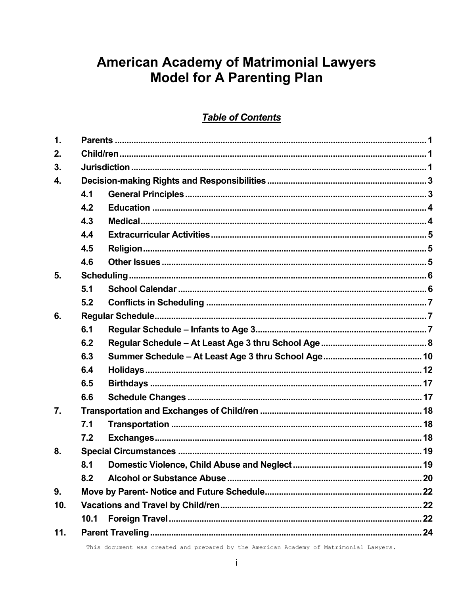# **American Academy of Matrimonial Lawyers Model for A Parenting Plan**

## **Table of Contents**

| $\mathbf 1$ .    |      |  |  |
|------------------|------|--|--|
| 2.               |      |  |  |
| 3.               |      |  |  |
| 4.               |      |  |  |
|                  | 4.1  |  |  |
|                  | 4.2  |  |  |
|                  | 4.3  |  |  |
|                  | 4.4  |  |  |
|                  | 4.5  |  |  |
|                  | 4.6  |  |  |
| 5.               |      |  |  |
|                  | 5.1  |  |  |
|                  | 5.2  |  |  |
| 6.               |      |  |  |
|                  | 6.1  |  |  |
|                  | 6.2  |  |  |
|                  | 6.3  |  |  |
|                  | 6.4  |  |  |
|                  | 6.5  |  |  |
|                  | 6.6  |  |  |
| $\overline{7}$ . |      |  |  |
|                  | 7.1  |  |  |
|                  | 7.2  |  |  |
| 8.               |      |  |  |
|                  | 8.1  |  |  |
|                  | 8.2  |  |  |
| 9.               |      |  |  |
| 10.              |      |  |  |
|                  | 10.1 |  |  |
| 11.              |      |  |  |

This document was created and prepared by the American Academy of Matrimonial Lawyers.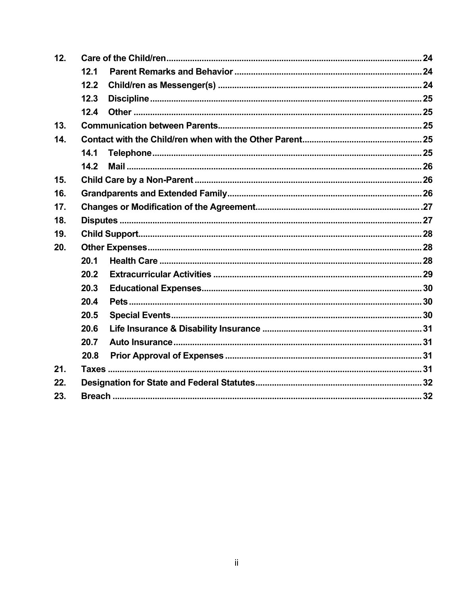| 12. |      |  |  |
|-----|------|--|--|
|     | 12.1 |  |  |
|     | 12.2 |  |  |
|     | 12.3 |  |  |
|     | 12.4 |  |  |
| 13. |      |  |  |
| 14. |      |  |  |
|     | 14.1 |  |  |
|     | 14.2 |  |  |
| 15. |      |  |  |
| 16. |      |  |  |
| 17. |      |  |  |
| 18. |      |  |  |
| 19. |      |  |  |
| 20. |      |  |  |
|     | 20.1 |  |  |
|     | 20.2 |  |  |
|     | 20.3 |  |  |
|     | 20.4 |  |  |
|     | 20.5 |  |  |
|     | 20.6 |  |  |
|     | 20.7 |  |  |
|     | 20.8 |  |  |
| 21. |      |  |  |
| 22. |      |  |  |
| 23. |      |  |  |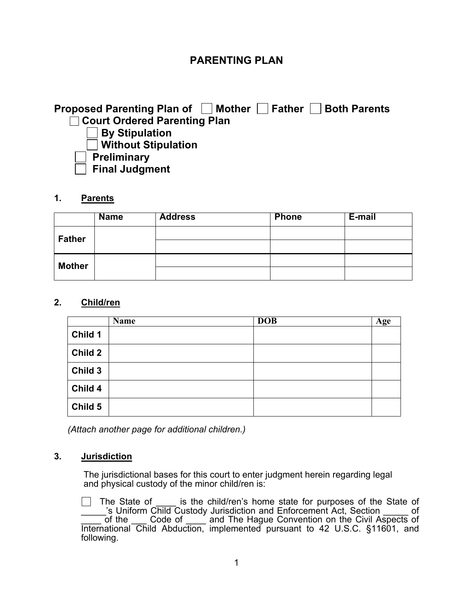## **PARENTING PLAN**

## **Proposed Parenting Plan of**  Mother **Father Both Parents Court Ordered Parenting Plan By Stipulation Without Stipulation**

 **Preliminary** 

 **Final Judgment** 

#### **1. Parents**

|               | <b>Name</b> | <b>Address</b> | Phone | E-mail |
|---------------|-------------|----------------|-------|--------|
| <b>Father</b> |             |                |       |        |
|               |             |                |       |        |
| <b>Mother</b> |             |                |       |        |
|               |             |                |       |        |

#### **2. Child/ren**

|         | <b>Name</b> | <b>DOB</b> | <b>Age</b> |
|---------|-------------|------------|------------|
| Child 1 |             |            |            |
| Child 2 |             |            |            |
| Child 3 |             |            |            |
| Child 4 |             |            |            |
| Child 5 |             |            |            |

*(Attach another page for additional children.)* 

#### **3. Jurisdiction**

 The jurisdictional bases for this court to enter judgment herein regarding legal and physical custody of the minor child/ren is:

 $\Box$  The State of is the child/ren's home state for purposes of the State of \_\_\_\_\_'s Uniform Child Custody Jurisdiction and Enforcement Act, Section \_\_\_\_\_ of of the Code of \_\_\_\_\_ and The Hague Convention on the Civil Aspects of International Child Abduction, implemented pursuant to 42 U.S.C. §11601, and following.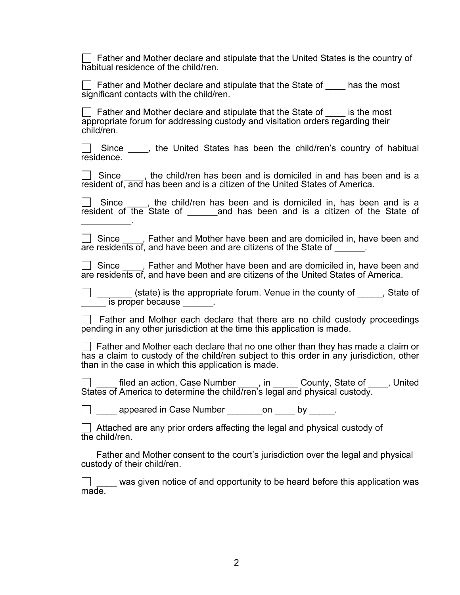$\Box$  Father and Mother declare and stipulate that the United States is the country of habitual residence of the child/ren.

 $\Box$  Father and Mother declare and stipulate that the State of  $\Box$  has the most significant contacts with the child/ren.

 $\vert \ \vert$  Father and Mother declare and stipulate that the State of  $\vert \ \vert$  is the most appropriate forum for addressing custody and visitation orders regarding their child/ren.

Since \_\_\_, the United States has been the child/ren's country of habitual residence.

 $\Box$  Since , the child/ren has been and is domiciled in and has been and is a resident of, and has been and is a citizen of the United States of America.

 $\Box$  Since  $\Box$ , the child/ren has been and is domiciled in, has been and is a resident of the State of and has been and is a citizen of the State of

 $\Box$  Since  $\Box$ , Father and Mother have been and are domiciled in, have been and are residents of, and have been and are citizens of the State of  $\qquad \qquad$ .

□ Since \_\_\_\_, Father and Mother have been and are domiciled in, have been and are residents of, and have been and are citizens of the United States of America.

 \_\_\_\_\_\_\_ (state) is the appropriate forum. Venue in the county of \_\_\_\_\_, State of is proper because

 $\Box$  Father and Mother each declare that there are no child custody proceedings pending in any other jurisdiction at the time this application is made.

 $\Box$  Father and Mother each declare that no one other than they has made a claim or has a claim to custody of the child/ren subject to this order in any jurisdiction, other than in the case in which this application is made.

Lacker filed an action, Case Number Leg., in Leg. County, State of Leg., United States of America to determine the child/ren's legal and physical custody.

 $\Box$  appeared in Case Number  $\Box$  by  $\Box$ 

 $\vert \ \vert$  Attached are any prior orders affecting the legal and physical custody of the child/ren.

 Father and Mother consent to the court's jurisdiction over the legal and physical custody of their child/ren.

 $\Box$   $\Box$  was given notice of and opportunity to be heard before this application was made.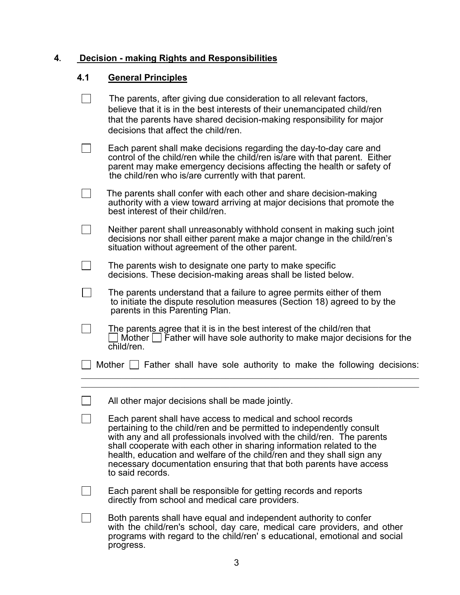## **4. Decision - making Rights and Responsibilities**

## **4.1 General Principles**

| The parents, after giving due consideration to all relevant factors,<br>believe that it is in the best interests of their unemancipated child/ren<br>that the parents have shared decision-making responsibility for major<br>decisions that affect the child/ren.                                                                                                                                                                                            |
|---------------------------------------------------------------------------------------------------------------------------------------------------------------------------------------------------------------------------------------------------------------------------------------------------------------------------------------------------------------------------------------------------------------------------------------------------------------|
| Each parent shall make decisions regarding the day-to-day care and<br>control of the child/ren while the child/ren is/are with that parent. Either<br>parent may make emergency decisions affecting the health or safety of<br>the child/ren who is/are currently with that parent.                                                                                                                                                                           |
| The parents shall confer with each other and share decision-making<br>authority with a view toward arriving at major decisions that promote the<br>best interest of their child/ren.                                                                                                                                                                                                                                                                          |
| Neither parent shall unreasonably withhold consent in making such joint<br>decisions nor shall either parent make a major change in the child/ren's<br>situation without agreement of the other parent.                                                                                                                                                                                                                                                       |
| The parents wish to designate one party to make specific<br>decisions. These decision-making areas shall be listed below.                                                                                                                                                                                                                                                                                                                                     |
| The parents understand that a failure to agree permits either of them<br>to initiate the dispute resolution measures (Section 18) agreed to by the<br>parents in this Parenting Plan.                                                                                                                                                                                                                                                                         |
| The parents agree that it is in the best interest of the child/ren that<br>Mother $\Box$ Father will have sole authority to make major decisions for the<br>child/ren.                                                                                                                                                                                                                                                                                        |
| Mother $\Box$ Father shall have sole authority to make the following decisions:                                                                                                                                                                                                                                                                                                                                                                               |
| All other major decisions shall be made jointly.                                                                                                                                                                                                                                                                                                                                                                                                              |
| Each parent shall have access to medical and school records<br>pertaining to the child/ren and be permitted to independently consult<br>with any and all professionals involved with the child/ren. The parents<br>shall cooperate with each other in sharing information related to the<br>health, education and welfare of the child/ren and they shall sign any<br>necessary documentation ensuring that that both parents have access<br>to said records. |
| Each parent shall be responsible for getting records and reports<br>directly from school and medical care providers.                                                                                                                                                                                                                                                                                                                                          |
| Both parents shall have equal and independent authority to confer<br>with the child/ren's school, day care, medical care providers, and other<br>programs with regard to the child/ren's educational, emotional and social<br>progress.                                                                                                                                                                                                                       |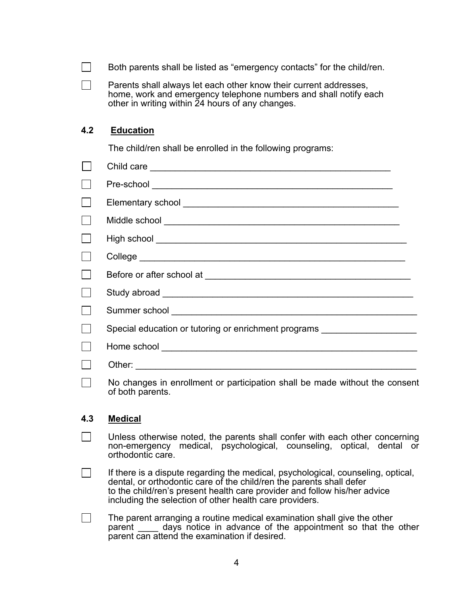|                | Both parents shall be listed as "emergency contacts" for the child/ren.                                                                                                                                                                                                                          |
|----------------|--------------------------------------------------------------------------------------------------------------------------------------------------------------------------------------------------------------------------------------------------------------------------------------------------|
|                | Parents shall always let each other know their current addresses,<br>home, work and emergency telephone numbers and shall notify each<br>other in writing within 24 hours of any changes.                                                                                                        |
| 4.2            | <b>Education</b>                                                                                                                                                                                                                                                                                 |
|                | The child/ren shall be enrolled in the following programs:                                                                                                                                                                                                                                       |
| $\blacksquare$ |                                                                                                                                                                                                                                                                                                  |
|                |                                                                                                                                                                                                                                                                                                  |
|                |                                                                                                                                                                                                                                                                                                  |
|                |                                                                                                                                                                                                                                                                                                  |
|                |                                                                                                                                                                                                                                                                                                  |
|                |                                                                                                                                                                                                                                                                                                  |
|                |                                                                                                                                                                                                                                                                                                  |
|                |                                                                                                                                                                                                                                                                                                  |
|                |                                                                                                                                                                                                                                                                                                  |
|                | Special education or tutoring or enrichment programs ___________________________                                                                                                                                                                                                                 |
|                |                                                                                                                                                                                                                                                                                                  |
|                |                                                                                                                                                                                                                                                                                                  |
|                | No changes in enrollment or participation shall be made without the consent<br>of both parents.                                                                                                                                                                                                  |
| 4.3            | <b>Medical</b>                                                                                                                                                                                                                                                                                   |
|                | Unless otherwise noted, the parents shall confer with each other concerning<br>non-emergency medical, psychological, counseling, optical, dental or<br>orthodontic care.                                                                                                                         |
|                | If there is a dispute regarding the medical, psychological, counseling, optical,<br>dental, or orthodontic care of the child/ren the parents shall defer<br>to the child/ren's present health care provider and follow his/her advice<br>including the selection of other health care providers. |
|                | The parent arranging a routine medical examination shall give the other                                                                                                                                                                                                                          |

parent \_\_\_\_\_ days notice in advance of the appointment so that the other parent can attend the examination if desired.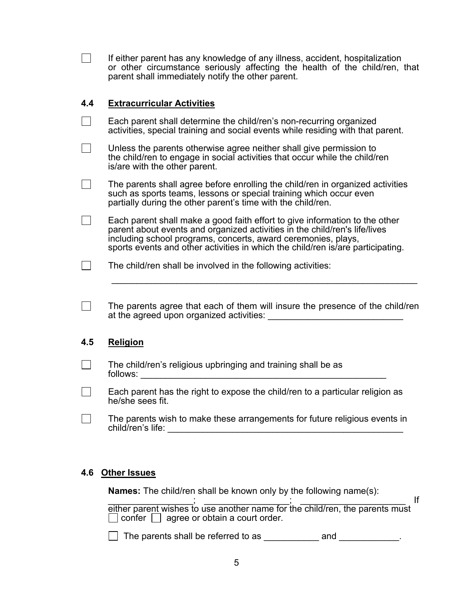|                | If either parent has any knowledge of any illness, accident, hospitalization<br>or other circumstance seriously affecting the health of the child/ren, that<br>parent shall immediately notify the other parent.                                                                                              |
|----------------|---------------------------------------------------------------------------------------------------------------------------------------------------------------------------------------------------------------------------------------------------------------------------------------------------------------|
| 4.4            | <b>Extracurricular Activities</b>                                                                                                                                                                                                                                                                             |
|                | Each parent shall determine the child/ren's non-recurring organized<br>activities, special training and social events while residing with that parent.                                                                                                                                                        |
|                | Unless the parents otherwise agree neither shall give permission to<br>the child/ren to engage in social activities that occur while the child/ren<br>is/are with the other parent.                                                                                                                           |
| $\sim$ 1       | The parents shall agree before enrolling the child/ren in organized activities<br>such as sports teams, lessons or special training which occur even<br>partially during the other parent's time with the child/ren.                                                                                          |
| $\blacksquare$ | Each parent shall make a good faith effort to give information to the other<br>parent about events and organized activities in the child/ren's life/lives<br>including school programs, concerts, award ceremonies, plays,<br>sports events and other activities in which the child/ren is/are participating. |
|                | The child/ren shall be involved in the following activities:                                                                                                                                                                                                                                                  |
| $\blacksquare$ | The parents agree that each of them will insure the presence of the child/ren<br>at the agreed upon organized activities:                                                                                                                                                                                     |
| 4.5            | <b>Religion</b>                                                                                                                                                                                                                                                                                               |
|                | The child/ren's religious upbringing and training shall be as                                                                                                                                                                                                                                                 |
|                | Each parent has the right to expose the child/ren to a particular religion as<br>he/she sees fit.                                                                                                                                                                                                             |
|                | The parents wish to make these arrangements for future religious events in<br>child/ren's life:                                                                                                                                                                                                               |
|                |                                                                                                                                                                                                                                                                                                               |

### **4.6 Other Issues**

**Names:** The child/ren shall be known only by the following name(s):

 $\blacksquare$   $\blacksquare$   $\blacksquare$   $\blacksquare$   $\blacksquare$   $\blacksquare$   $\blacksquare$  If either parent wishes to use another name for the child/ren, the parents must confer  $\Box$  agree or obtain a court order.

 $\Box$  The parents shall be referred to as  $\_\_\_\_\_\_\_\_\$ and  $\_\_\_\_\_\_\_\_\_\_\_\_\_\_$ .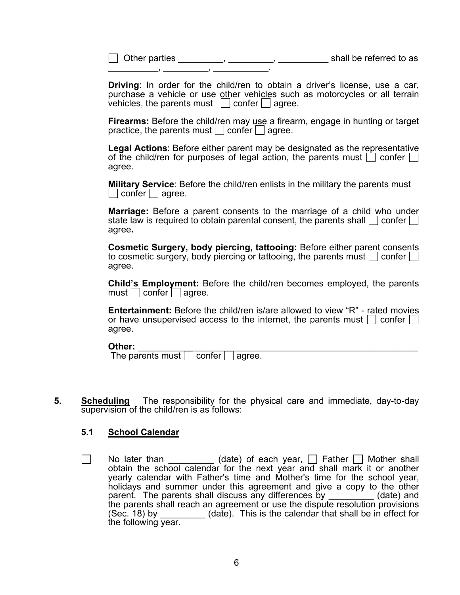\_\_\_\_\_\_\_\_\_\_, \_\_\_\_\_\_\_\_\_, \_\_\_\_\_\_\_\_\_\_\_.

 $\Box$  Other parties  $\Box$   $\Box$ 

**Driving**: In order for the child/ren to obtain a driver's license, use a car, purchase a vehicle or use other vehicles such as motorcycles or all terrain vehicles, the parents must  $\Box$  confer  $\Box$  agree.

**Firearms:** Before the child/ren may use a firearm, engage in hunting or target practice, the parents must  $\vert$  confer  $\vert$  agree.

**Legal Actions**: Before either parent may be designated as the representative of the child/ren for purposes of legal action, the parents must  $\Box$  confer agree.

**Military Service**: Before the child/ren enlists in the military the parents must  $\vert$  confer  $\vert$  agree.

**Marriage:** Before a parent consents to the marriage of a child who under state law is required to obtain parental consent, the parents shall  $\vert$  confer  $\vert$ agree**.** 

**Cosmetic Surgery, body piercing, tattooing:** Before either parent consents to cosmetic surgery, body piercing or tattooing, the parents must  $\vert \cdot \vert$  confer  $\vert \cdot \vert$ agree.

**Child's Employment:** Before the child/ren becomes employed, the parents  $must \cup confer \cup agree.$ 

**Entertainment:** Before the child/ren is/are allowed to view "R" - rated movies or have unsupervised access to the internet, the parents must  $\vert \cdot \vert$  confer  $\vert \cdot \vert$ agree.

**Other:** \_\_\_\_\_\_\_\_\_\_\_\_\_\_\_\_\_\_\_\_\_\_\_\_\_\_\_\_\_\_\_\_\_\_\_\_\_\_\_\_\_\_\_\_\_\_\_\_\_\_\_\_\_\_\_\_ The parents must confer agree.

**5. Scheduling** The responsibility for the physical care and immediate, day-to-day supervision of the child/ren is as follows:

#### **5.1 School Calendar**

No later than  $\Box$  No later than  $\Box$  (date) of each year,  $\Box$  Father  $\Box$  Mother shall obtain the school calendar for the next year and shall mark it or another yearly calendar with Father's time and Mother's time for the school year, holidays and summer under this agreement and give a copy to the other parent. The parents shall discuss any differences by \_\_\_\_\_\_\_\_(date) and the parents shall reach an agreement or use the dispute resolution provisions  $(Sec. 18)$  by  $(da\bar{t}e)$ . This is the calendar that shall be in effect for the following year.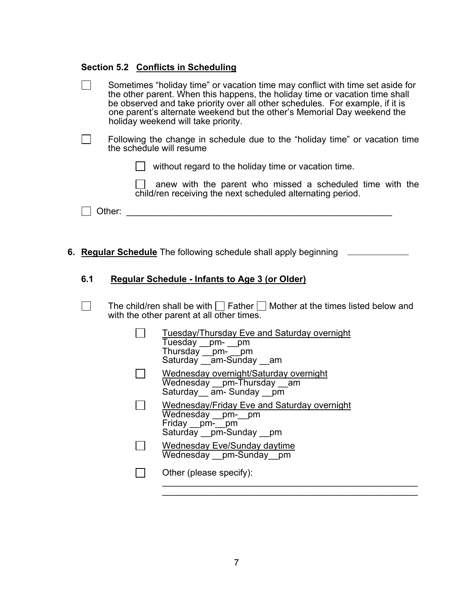## **Section 5.2 Conflicts in Scheduling**

|     |                          | Sometimes "holiday time" or vacation time may conflict with time set aside for<br>the other parent. When this happens, the holiday time or vacation time shall<br>be observed and take priority over all other schedules. For example, if it is<br>one parent's alternate weekend but the other's Memorial Day weekend the<br>holiday weekend will take priority. |
|-----|--------------------------|-------------------------------------------------------------------------------------------------------------------------------------------------------------------------------------------------------------------------------------------------------------------------------------------------------------------------------------------------------------------|
|     | the schedule will resume | Following the change in schedule due to the "holiday time" or vacation time                                                                                                                                                                                                                                                                                       |
|     |                          | without regard to the holiday time or vacation time.                                                                                                                                                                                                                                                                                                              |
|     |                          | anew with the parent who missed a scheduled time with the<br>child/ren receiving the next scheduled alternating period.                                                                                                                                                                                                                                           |
|     | Other:                   | <u> 1980 - Jan James James, president eta politikar</u>                                                                                                                                                                                                                                                                                                           |
|     |                          |                                                                                                                                                                                                                                                                                                                                                                   |
|     |                          | 6. Regular Schedule The following schedule shall apply beginning                                                                                                                                                                                                                                                                                                  |
| 6.1 |                          | <b>Regular Schedule - Infants to Age 3 (or Older)</b>                                                                                                                                                                                                                                                                                                             |
|     |                          | The child/ren shall be with $\vert \vert$   Father $\vert \vert$   Mother at the times listed below and<br>with the other parent at all other times.                                                                                                                                                                                                              |
|     |                          | <b>Tuesday/Thursday Eve and Saturday overnight</b><br>Tuesday _pm- _pm<br>Thursday _pm- _pm<br>Saturday _am-Sunday _am                                                                                                                                                                                                                                            |
|     |                          | Wednesday overnight/Saturday overnight<br>Wednesday pm-Thursday am<br>Saturday am-Sunday pm                                                                                                                                                                                                                                                                       |
|     |                          | Wednesday/Friday Eve and Saturday overnight<br>Wednesday pm-pm<br>Friday pm-pm<br>Saturday __pm-Sunday __pm                                                                                                                                                                                                                                                       |
|     |                          | Wednesday Eve/Sunday daytime<br>Wednesday __pm-Sunday __pm                                                                                                                                                                                                                                                                                                        |
|     |                          | Other (please specify):                                                                                                                                                                                                                                                                                                                                           |
|     |                          |                                                                                                                                                                                                                                                                                                                                                                   |

 $\overline{\phantom{a}}$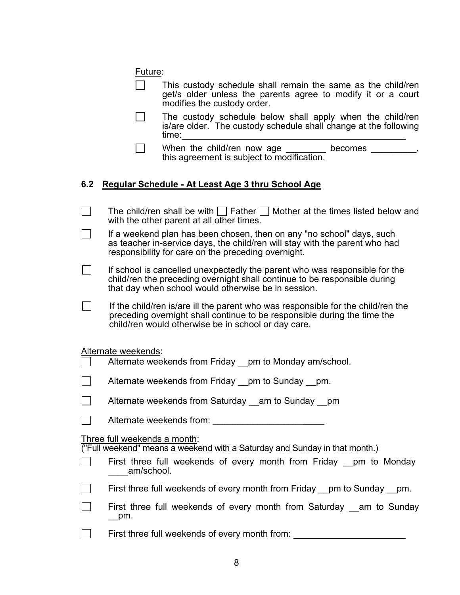|--|

| This custody schedule shall remain the same as the child/ren |
|--------------------------------------------------------------|
| get/s older unless the parents agree to modify it or a court |
| modifies the custody order.                                  |

 The custody schedule below shall apply when the child/ren is/are older. The custody schedule shall change at the following time:

When the child/ren now age \_\_\_\_\_\_\_\_ becomes \_\_\_\_\_\_\_\_, this agreement is subject to modification.

#### **6.2 Regular Schedule - At Least Age 3 thru School Age**

| The child/ren shall be with $\Box$ Father $\Box$ Mother at the times listed below and<br>with the other parent at all other times. |
|------------------------------------------------------------------------------------------------------------------------------------|
| The constitutional class because the constitution of the constitution of the constitution of the constitution of                   |

 $\Box$  If a weekend plan has been chosen, then on any "no school" days, such as teacher in-service days, the child/ren will stay with the parent who had responsibility for care on the preceding overnight.

 $\Box$  If school is cancelled unexpectedly the parent who was responsible for the child/ren the preceding overnight shall continue to be responsible during that day when school would otherwise be in session.

If the child/ren is/are ill the parent who was responsible for the child/ren the preceding overnight shall continue to be responsible during the time the child/ren would otherwise be in school or day care.

Alternate weekends:

| Alternate weekends from Friday | pm to Monday am/school. |
|--------------------------------|-------------------------|
|--------------------------------|-------------------------|

Alternate weekends from Friday pm to Sunday pm.

Alternate weekends from: \_\_\_\_\_\_\_\_\_\_\_\_\_\_\_\_\_\_

Three full weekends a month:

("Full weekend" means a weekend with a Saturday and Sunday in that month.)

|            | First three full weekends of every month from Friday __pm to Monday |  |  |  |  |
|------------|---------------------------------------------------------------------|--|--|--|--|
| am/school. |                                                                     |  |  |  |  |

First three full weekends of every month from Friday \_\_pm to Sunday \_\_pm.

| First three full weekends of every month from Saturday __ am to Sunday |  |  |  |  |  |
|------------------------------------------------------------------------|--|--|--|--|--|
| __pm.                                                                  |  |  |  |  |  |

**First three full weekends of every month from:**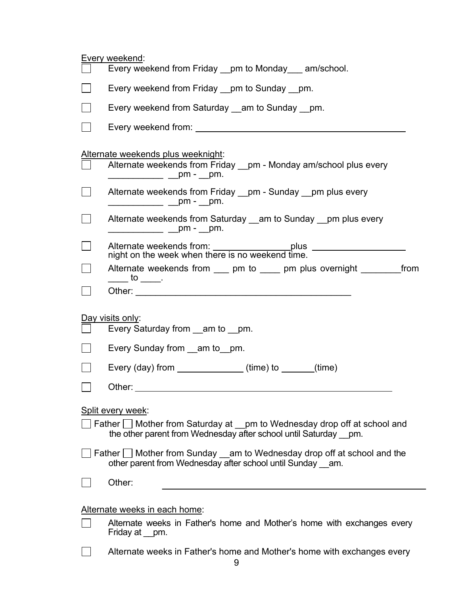|        | Every weekend:                                                                                                                                                                                                                |
|--------|-------------------------------------------------------------------------------------------------------------------------------------------------------------------------------------------------------------------------------|
|        | Every weekend from Friday __pm to Monday ___ am/school.                                                                                                                                                                       |
|        | Every weekend from Friday __pm to Sunday __pm.                                                                                                                                                                                |
|        | Every weekend from Saturday __ am to Sunday __ pm.                                                                                                                                                                            |
|        | Every weekend from: Note that the state of the state of the state of the state of the state of the state of the state of the state of the state of the state of the state of the state of the state of the state of the state |
|        | Alternate weekends plus weeknight:                                                                                                                                                                                            |
|        | Alternate weekends from Friday __pm - Monday am/school plus every<br>_____________ ____pm - ___pm.                                                                                                                            |
| $\Box$ | Alternate weekends from Friday __pm - Sunday __pm plus every<br>_____________ ____pm - ___pm.                                                                                                                                 |
| $\Box$ | Alternate weekends from Saturday am to Sunday pm plus every<br>_____________ ____pm - ___pm.                                                                                                                                  |
|        | Alternate weekends from: ____________________plus ______________________________<br>night on the week when there is no weekend time.                                                                                          |
|        | Alternate weekends from ____ pm to _____ pm plus overnight _________ from<br>$\rule{1em}{0.15mm}$ to $\rule{1em}{0.15mm}$ .                                                                                                   |
| $\Box$ |                                                                                                                                                                                                                               |
|        | Day visits only:<br>Every Saturday from __am to __pm.                                                                                                                                                                         |
|        |                                                                                                                                                                                                                               |
|        | Every Sunday from __am to__pm.                                                                                                                                                                                                |
|        | Every (day) from ______________(time) to ______(time)                                                                                                                                                                         |
|        | Other:                                                                                                                                                                                                                        |
|        | Split every week:                                                                                                                                                                                                             |
|        | Father Stather from Saturday at Spin to Wednesday drop off at school and<br>the other parent from Wednesday after school until Saturday pm.                                                                                   |
|        | Father Mother from Sunday __ am to Wednesday drop off at school and the<br>other parent from Wednesday after school until Sunday am.                                                                                          |
|        | Other:                                                                                                                                                                                                                        |
|        | Alternate weeks in each home:                                                                                                                                                                                                 |
|        | Alternate weeks in Father's home and Mother's home with exchanges every<br>Friday at __pm.                                                                                                                                    |
|        | Alternate weeks in Father's home and Mother's home with exchanges every                                                                                                                                                       |
|        |                                                                                                                                                                                                                               |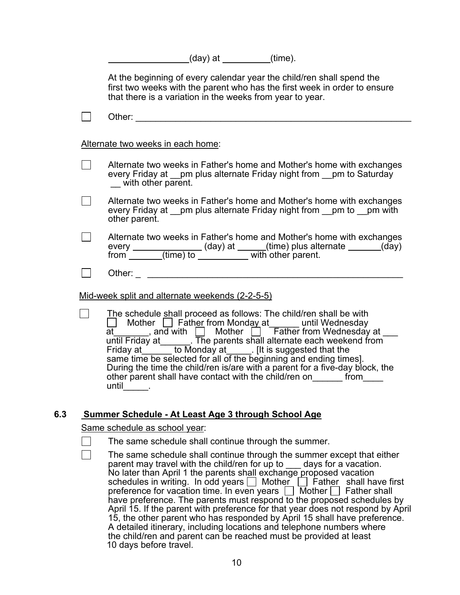(day) at (time).

 At the beginning of every calendar year the child/ren shall spend the first two weeks with the parent who has the first week in order to ensure that there is a variation in the weeks from year to year.

| $\sim$ $\sim$<br>.<br>, , , , , ,<br>. . |  |
|------------------------------------------|--|
|------------------------------------------|--|

Alternate two weeks in each home:

- Alternate two weeks in Father's home and Mother's home with exchanges every Friday at \_\_pm plus alternate Friday night from \_\_pm to Saturday with other parent.
- $\Box$  Alternate two weeks in Father's home and Mother's home with exchanges every Friday at *\_\_pm plus alternate Friday night from* pm to pm with other parent.
- $\Box$  Alternate two weeks in Father's home and Mother's home with exchanges every \_\_\_\_\_\_\_\_\_\_\_\_\_\_(day) at \_\_\_\_\_(time) plus alternate \_\_\_\_\_\_(day) from \_\_\_\_\_\_\_(time) to \_\_\_\_\_\_\_\_\_\_\_\_\_ with other parent.
	- Other: \_\_\_\_\_\_\_\_\_\_\_\_\_\_\_\_\_\_\_\_\_\_\_\_\_\_\_\_\_\_\_\_\_\_\_\_\_\_\_\_\_\_\_\_\_\_\_\_\_\_\_\_

Mid-week split and alternate weekends (2-2-5-5)

The schedule shall proceed as follows: The child/ren shall be with Mother Father from Monday at earth in Wednesday at \_\_\_\_\_\_\_, and with  $\Box$  Mother  $\Box$  Father from Wednesday at \_\_\_ until Friday at\_\_\_\_\_\_. The parents shall alternate each weekend from Friday at \_\_\_\_\_\_ to Monday at \_\_\_\_\_. [It is suggested that the same time be selected for all of the beginning and ending times]. During the time the child/ren is/are with a parent for a five-day block, the other parent shall have contact with the child/ren on\_\_\_\_\_\_\_ from\_\_\_\_\_ until  $\_\_\_\$ .

#### **6.3 Summer Schedule - At Least Age 3 through School Age**

#### Same schedule as school year:

- The same schedule shall continue through the summer.
- The same schedule shall continue through the summer except that either parent may travel with the child/ren for up to \_\_\_ days for a vacation. No later than April 1 the parents shall exchange proposed vacation schedules in writing. In odd years  $\Box$  Mother  $\Box$  Father shall have first preference for vacation time. In even years  $\Box$  Mother  $\Box$  Father shall have preference. The parents must respond to the proposed schedules by April 15. If the parent with preference for that year does not respond by April 15, the other parent who has responded by April 15 shall have preference. A detailed itinerary, including locations and telephone numbers where the child/ren and parent can be reached must be provided at least 10 days before travel.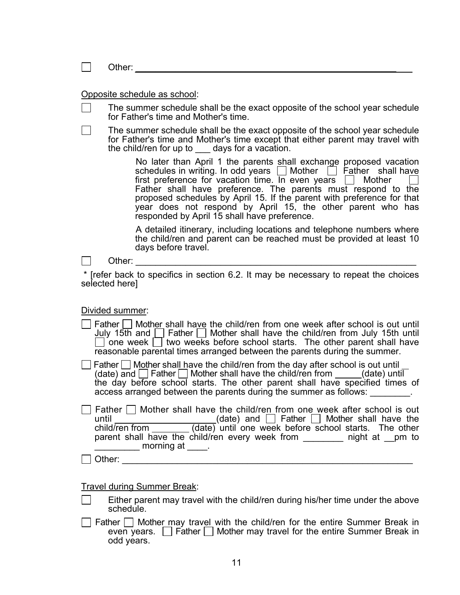| Other:                                                                                                                                                                                                                                                                                                                                                                                                                                                                    |
|---------------------------------------------------------------------------------------------------------------------------------------------------------------------------------------------------------------------------------------------------------------------------------------------------------------------------------------------------------------------------------------------------------------------------------------------------------------------------|
| Opposite schedule as school:                                                                                                                                                                                                                                                                                                                                                                                                                                              |
| The summer schedule shall be the exact opposite of the school year schedule<br>for Father's time and Mother's time.                                                                                                                                                                                                                                                                                                                                                       |
| The summer schedule shall be the exact opposite of the school year schedule<br>for Father's time and Mother's time except that either parent may travel with<br>the child/ren for up to days for a vacation.                                                                                                                                                                                                                                                              |
| No later than April 1 the parents shall exchange proposed vacation schedules in writing. In odd years $\Box$ Mother $\Box$ Father shall have<br>first preference for vacation time. In even years $\Box$ Mother<br>Father shall have preference. The parents must respond to the<br>proposed schedules by April 15. If the parent with preference for that<br>year does not respond by April 15, the other parent who has<br>responded by April 15 shall have preference. |
| A detailed itinerary, including locations and telephone numbers where<br>the child/ren and parent can be reached must be provided at least 10<br>days before travel.                                                                                                                                                                                                                                                                                                      |
| Other:                                                                                                                                                                                                                                                                                                                                                                                                                                                                    |
| * [refer back to specifics in section 6.2. It may be necessary to repeat the choices<br>selected here]                                                                                                                                                                                                                                                                                                                                                                    |
| Divided summer:                                                                                                                                                                                                                                                                                                                                                                                                                                                           |
| Father     Mother shall have the child/ren from one week after school is out until<br>July 15th and $\Box$ Father $\Box$ Mother shall have the child/ren from July 15th until<br>$\Box$ one week $\Box$ two weeks before school starts. The other parent shall have<br>reasonable parental times arranged between the parents during the summer.                                                                                                                          |
| Father $\Box$ Mother shall have the child/ren from the day after school is out until<br>(date) and $\Box$ Father $\Box$ Mother shall have the child/ren from $\Box$ (date) until<br>the day before school starts. The other parent shall have specified times of<br>access arranged between the parents during the summer as follows: ________.                                                                                                                           |
| Father   Mother shall have the child/ren from one week after school is out<br>until $\frac{\overline{\hspace{1cm}}}{\hspace{1cm}}$ (date) and $\overline{\hspace{1cm}}$ Father $\overline{\hspace{1cm}}$ Mother shall have the child/ren from $\frac{\hspace{1cm}}{\hspace{1cm}}$ (date) until one week before school starts. The other<br>parent shall have the child/ren every week from _______ night at _pm to<br>morning at _____.                                   |
|                                                                                                                                                                                                                                                                                                                                                                                                                                                                           |
|                                                                                                                                                                                                                                                                                                                                                                                                                                                                           |
| <b>Travel during Summer Break:</b>                                                                                                                                                                                                                                                                                                                                                                                                                                        |
| Either parent may travel with the child/ren during his/her time under the above<br>schedule.                                                                                                                                                                                                                                                                                                                                                                              |
| Father $\Box$ Mother may travel with the child/ren for the entire Summer Break in<br>even years. $\Box$ Father $\Box$ Mother may travel for the entire Summer Break in<br>odd years.                                                                                                                                                                                                                                                                                      |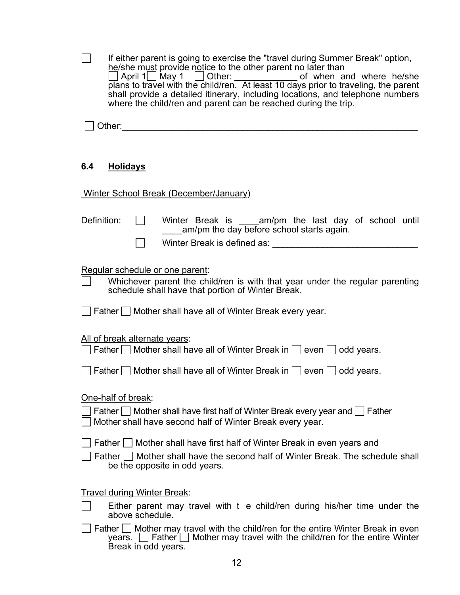|             | If either parent is going to exercise the "travel during Summer Break" option,<br>he/she must provide notice to the other parent no later than<br>△ April 1 May 1 △ Other: of when and where he/she plans to travel with the child/ren. At least 10 days prior to traveling, the parent<br>shall provide a detailed itinerary, including locations, and telephone numbers<br>where the child/ren and parent can be reached during the trip. |
|-------------|---------------------------------------------------------------------------------------------------------------------------------------------------------------------------------------------------------------------------------------------------------------------------------------------------------------------------------------------------------------------------------------------------------------------------------------------|
|             |                                                                                                                                                                                                                                                                                                                                                                                                                                             |
| 6.4         | <b>Holidays</b>                                                                                                                                                                                                                                                                                                                                                                                                                             |
|             | Winter School Break (December/January)                                                                                                                                                                                                                                                                                                                                                                                                      |
| Definition: | Winter Break is am/pm the last day of school until<br>am/pm the day before school starts again.<br>Winter Break is defined as: University of the University of the University of the University of the University of the University of the University of the University of the University of the University of the University of                                                                                                            |
|             | Regular schedule or one parent:<br>Whichever parent the child/ren is with that year under the regular parenting<br>schedule shall have that portion of Winter Break.<br>  Father   Mother shall have all of Winter Break every year.                                                                                                                                                                                                        |
|             |                                                                                                                                                                                                                                                                                                                                                                                                                                             |
|             | All of break alternate years:<br>Father $\Box$ Mother shall have all of Winter Break in $\Box$ even $\Box$ odd years.                                                                                                                                                                                                                                                                                                                       |
|             | Father   Mother shall have all of Winter Break in   even   odd years.                                                                                                                                                                                                                                                                                                                                                                       |
|             | One-half of break:<br>Father $\Box$ Mother shall have first half of Winter Break every year and $\Box$ Father<br>Mother shall have second half of Winter Break every year.                                                                                                                                                                                                                                                                  |
|             | Father     Mother shall have first half of Winter Break in even years and<br>Father     Mother shall have the second half of Winter Break. The schedule shall<br>be the opposite in odd years.                                                                                                                                                                                                                                              |
|             | <b>Travel during Winter Break:</b><br>Either parent may travel with t e child/ren during his/her time under the<br>above schedule.                                                                                                                                                                                                                                                                                                          |
|             | Father $\Box$ Mother may travel with the child/ren for the entire Winter Break in even<br>Father $\Box$ Mother may travel with the child/ren for the entire Winter<br>years.<br>Break in odd years.                                                                                                                                                                                                                                         |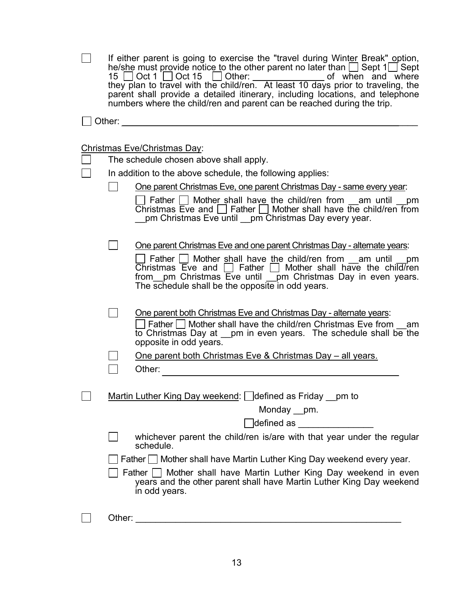| If either parent is going to exercise the "travel during Winter Break" option,<br>he/she must provide notice to the other parent no later than $\Box$ Sept 1 $\Box$ Sept<br>parent shall provide a detailed itinerary, including locations, and telephone<br>numbers where the child/ren and parent can be reached during the trip.             |
|-------------------------------------------------------------------------------------------------------------------------------------------------------------------------------------------------------------------------------------------------------------------------------------------------------------------------------------------------|
| Other:                                                                                                                                                                                                                                                                                                                                          |
|                                                                                                                                                                                                                                                                                                                                                 |
| Christmas Eve/Christmas Day:<br>The schedule chosen above shall apply.                                                                                                                                                                                                                                                                          |
| In addition to the above schedule, the following applies:                                                                                                                                                                                                                                                                                       |
| One parent Christmas Eve, one parent Christmas Day - same every year:                                                                                                                                                                                                                                                                           |
| Father $\Box$ Mother shall have the child/ren from am until pm<br>Christmas Eve and $\Box$ Father $\Box$ Mother shall have the child/ren from<br>pm Christmas Eve until __pm Christmas Day every year.                                                                                                                                          |
| One parent Christmas Eve and one parent Christmas Day - alternate years:<br>□ Father □ Mother shall have the child/ren from __am until _<br>pm<br>Christmas Eve and $\Box$ Father $\Box$ Mother shall have the child/ren<br>from __pm Christmas Eve until __pm Christmas Day in even years.<br>The schedule shall be the opposite in odd years. |
| One parent both Christmas Eve and Christmas Day - alternate years:<br>  Father     Mother shall have the child/ren Christmas Eve from am<br>to Christmas Day at __pm in even years. The schedule shall be the<br>opposite in odd years.                                                                                                         |
| <u>One parent both Christmas Eve &amp; Christmas Day - all years.</u>                                                                                                                                                                                                                                                                           |
| Other:                                                                                                                                                                                                                                                                                                                                          |
| Martin Luther King Day weekend: defined as Friday pm to<br>Monday __pm.<br>defined as <b>well</b> defined as                                                                                                                                                                                                                                    |
| whichever parent the child/ren is/are with that year under the regular<br>schedule.                                                                                                                                                                                                                                                             |
| Father Mother shall have Martin Luther King Day weekend every year.                                                                                                                                                                                                                                                                             |
| Father $\Box$ Mother shall have Martin Luther King Day weekend in even<br>years and the other parent shall have Martin Luther King Day weekend<br>in odd years.                                                                                                                                                                                 |
| Other:                                                                                                                                                                                                                                                                                                                                          |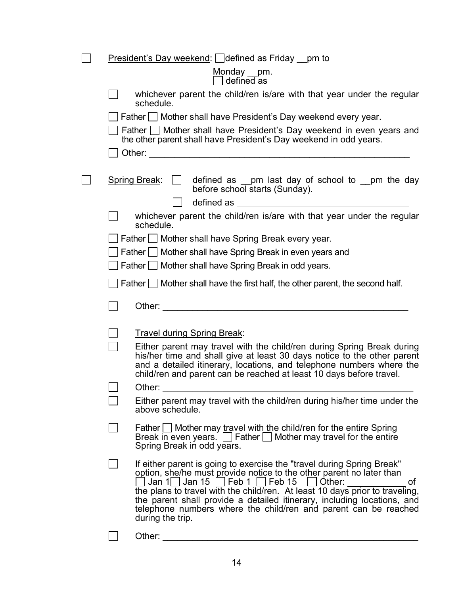| <b>President's Day weekend:</b> $\Box$ defined as Friday $\Box$ pm to                                                                                                                                                                                                                                                                                                                                                                                                         |
|-------------------------------------------------------------------------------------------------------------------------------------------------------------------------------------------------------------------------------------------------------------------------------------------------------------------------------------------------------------------------------------------------------------------------------------------------------------------------------|
| Monday __pm.<br>defined as                                                                                                                                                                                                                                                                                                                                                                                                                                                    |
| whichever parent the child/ren is/are with that year under the regular<br>schedule.                                                                                                                                                                                                                                                                                                                                                                                           |
| Father Mother shall have President's Day weekend every year.                                                                                                                                                                                                                                                                                                                                                                                                                  |
| Father   Mother shall have President's Day weekend in even years and<br>the other parent shall have President's Day weekend in odd years.                                                                                                                                                                                                                                                                                                                                     |
|                                                                                                                                                                                                                                                                                                                                                                                                                                                                               |
| <b>Spring Break:</b><br>defined as __pm last day of school to __pm the day<br>before school starts (Sunday).                                                                                                                                                                                                                                                                                                                                                                  |
|                                                                                                                                                                                                                                                                                                                                                                                                                                                                               |
| whichever parent the child/ren is/are with that year under the regular<br>schedule.                                                                                                                                                                                                                                                                                                                                                                                           |
| Father I Mother shall have Spring Break every year.                                                                                                                                                                                                                                                                                                                                                                                                                           |
| Father   Mother shall have Spring Break in even years and                                                                                                                                                                                                                                                                                                                                                                                                                     |
| Father   Mother shall have Spring Break in odd years.                                                                                                                                                                                                                                                                                                                                                                                                                         |
| Father $\Box$ Mother shall have the first half, the other parent, the second half.                                                                                                                                                                                                                                                                                                                                                                                            |
| Other: 2008 2009 2012 2022 2023 2024 2022 2022 2023 2024 2022 2023 2024 2022 2023 2024 2022 2023 2024 2022 20                                                                                                                                                                                                                                                                                                                                                                 |
| <b>Travel during Spring Break:</b>                                                                                                                                                                                                                                                                                                                                                                                                                                            |
| Either parent may travel with the child/ren during Spring Break during<br>his/her time and shall give at least 30 days notice to the other parent<br>and a detailed itinerary, locations, and telephone numbers where the<br>child/ren and parent can be reached at least 10 days before travel.                                                                                                                                                                              |
| Other:                                                                                                                                                                                                                                                                                                                                                                                                                                                                        |
| Either parent may travel with the child/ren during his/her time under the<br>above schedule.                                                                                                                                                                                                                                                                                                                                                                                  |
| Father $\Box$ Mother may travel with the child/ren for the entire Spring<br>Break in even years. $\Box$ Father $\Box$ Mother may travel for the entire<br>Spring Break in odd years.                                                                                                                                                                                                                                                                                          |
| If either parent is going to exercise the "travel during Spring Break"<br>option, she/he must provide notice to the other parent no later than<br>$\Box$ Jan 1 $\Box$ Jan 15 $\Box$ Feb 1 $\Box$ Feb 15 $\Box$ Other:<br>0t<br>the plans to travel with the child/ren. At least 10 days prior to traveling,<br>the parent shall provide a detailed itinerary, including locations, and<br>telephone numbers where the child/ren and parent can be reached<br>during the trip. |
| Other:                                                                                                                                                                                                                                                                                                                                                                                                                                                                        |

14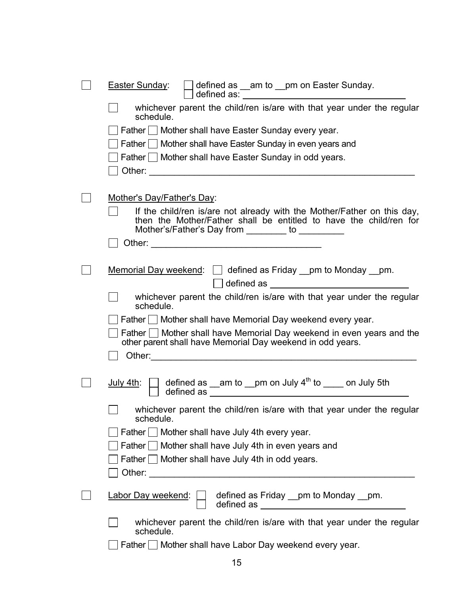| defined as _am to _pm on Easter Sunday.<br>Easter Sunday:<br>defined as: <u>The annual property of the set of the set of the set of the set of the set of the set of the set of the set of the set of the set of the set of the set of the set of the set of the set of the set of the set of</u>                                       |
|-----------------------------------------------------------------------------------------------------------------------------------------------------------------------------------------------------------------------------------------------------------------------------------------------------------------------------------------|
| whichever parent the child/ren is/are with that year under the regular<br>schedule.                                                                                                                                                                                                                                                     |
| Father Mother shall have Easter Sunday every year.                                                                                                                                                                                                                                                                                      |
| Father   Mother shall have Easter Sunday in even years and                                                                                                                                                                                                                                                                              |
| Father   Mother shall have Easter Sunday in odd years.                                                                                                                                                                                                                                                                                  |
|                                                                                                                                                                                                                                                                                                                                         |
|                                                                                                                                                                                                                                                                                                                                         |
| Mother's Day/Father's Day:                                                                                                                                                                                                                                                                                                              |
| If the child/ren is/are not already with the Mother/Father on this day,<br>then the Mother/Father shall be entitled to have the child/ren for<br>Mother's/Father's Day from ________ to _________                                                                                                                                       |
|                                                                                                                                                                                                                                                                                                                                         |
|                                                                                                                                                                                                                                                                                                                                         |
| <u>Memorial Day weekend: <math>\Box</math></u> defined as Friday $\Box$ pm to Monday $\Box$ pm.                                                                                                                                                                                                                                         |
| defined as $\_$                                                                                                                                                                                                                                                                                                                         |
| whichever parent the child/ren is/are with that year under the regular<br>schedule.                                                                                                                                                                                                                                                     |
| Father Mother shall have Memorial Day weekend every year.                                                                                                                                                                                                                                                                               |
| Father $\Box$ Mother shall have Memorial Day weekend in even years and the<br>other parent shall have Memorial Day weekend in odd years.                                                                                                                                                                                                |
|                                                                                                                                                                                                                                                                                                                                         |
|                                                                                                                                                                                                                                                                                                                                         |
| $\Box$ defined as __am to __pm on July 4 <sup>th</sup> to ____ on July 5th<br><u>July 4th</u> :<br>defined as <u>Electron and the set of the set of the set of the set of the set of the set of the set of the set of the set of the set of the set of the set of the set of the set of the set of the set of the set of the set of</u> |
| whichever parent the child/ren is/are with that year under the regular<br>schedule.                                                                                                                                                                                                                                                     |
| Father I Mother shall have July 4th every year.                                                                                                                                                                                                                                                                                         |
| Father Shother shall have July 4th in even years and                                                                                                                                                                                                                                                                                    |
| Father Mother shall have July 4th in odd years.                                                                                                                                                                                                                                                                                         |
| Other: and the state of the state of the state of the state of the state of the state of the state of the state of the state of the state of the state of the state of the state of the state of the state of the state of the                                                                                                          |
| Labor Day weekend:<br>defined as Friday pm to Monday pm.                                                                                                                                                                                                                                                                                |
| whichever parent the child/ren is/are with that year under the regular<br>schedule.                                                                                                                                                                                                                                                     |
| Father   Mother shall have Labor Day weekend every year.                                                                                                                                                                                                                                                                                |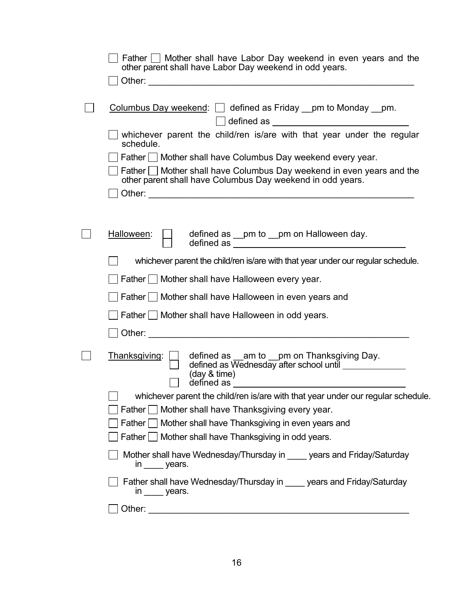| Father $\Box$ Mother shall have Labor Day weekend in even years and the<br>other parent shall have Labor Day weekend in odd years.                    |
|-------------------------------------------------------------------------------------------------------------------------------------------------------|
|                                                                                                                                                       |
| Columbus Day weekend: [   defined as Friday _pm to Monday _pm.<br>defined as $\frac{1}{\sqrt{1-\frac{1}{2}}\left(\frac{1}{2}-\frac{1}{2}\right)}$     |
| whichever parent the child/ren is/are with that year under the regular<br>schedule.                                                                   |
| Father   Mother shall have Columbus Day weekend every year.                                                                                           |
| Father   Mother shall have Columbus Day weekend in even years and the<br>other parent shall have Columbus Day weekend in odd years.                   |
|                                                                                                                                                       |
|                                                                                                                                                       |
| Halloween:<br>defined as _pm to _pm on Halloween day.                                                                                                 |
| whichever parent the child/ren is/are with that year under our regular schedule.                                                                      |
| Father I Mother shall have Halloween every year.                                                                                                      |
| Father   Mother shall have Halloween in even years and                                                                                                |
| Father I Mother shall have Halloween in odd years.                                                                                                    |
|                                                                                                                                                       |
| Thanksgiving:<br>defined as __am to __pm on Thanksgiving Day.<br>defined as Wednesday after school until ______________<br>(day & time)<br>defined as |
| whichever parent the child/ren is/are with that year under our regular schedule.                                                                      |
| Father   Mother shall have Thanksgiving every year.                                                                                                   |
| Father   Mother shall have Thanksgiving in even years and                                                                                             |
| Father $\Box$ Mother shall have Thanksgiving in odd years.                                                                                            |
| Mother shall have Wednesday/Thursday in _____ years and Friday/Saturday<br>$\mathsf{in}$ years.                                                       |
| Father shall have Wednesday/Thursday in ____ years and Friday/Saturday<br>$\mathsf{in}$ years.                                                        |
| Other:                                                                                                                                                |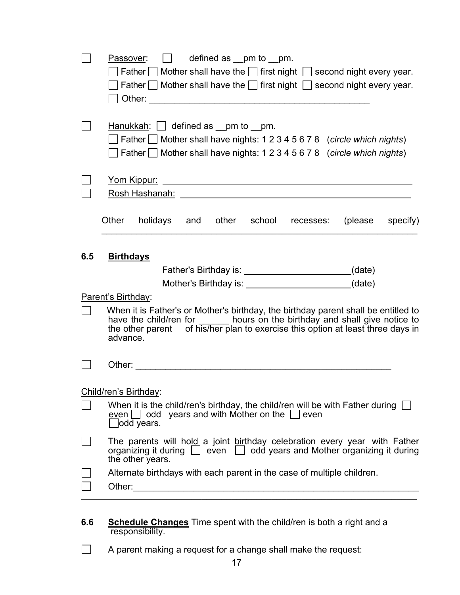|     | defined as $\_pm$ to $\_pm$ .<br>Passover:<br>Father $\Box$ Mother shall have the $\Box$ first night $\Box$ second night every year.<br>Father $\Box$ Mother shall have the $\Box$ first night $\Box$ second night every year.                                     |
|-----|--------------------------------------------------------------------------------------------------------------------------------------------------------------------------------------------------------------------------------------------------------------------|
|     | $H$ anukkah: $\Box$ defined as _pm to _pm.<br>$\Box$ Father $\Box$ Mother shall have nights: 1 2 3 4 5 6 7 8 (circle which nights)<br>$\Box$ Father $\Box$ Mother shall have nights: 1 2 3 4 5 6 7 8 (circle which nights)                                         |
|     | Rosh Hashanah: <u>www.community.com</u>                                                                                                                                                                                                                            |
|     | Other<br>holidays and<br>other school recesses:<br>(please<br>specify)                                                                                                                                                                                             |
| 6.5 | <b>Birthdays</b><br>(date)                                                                                                                                                                                                                                         |
|     | (date)                                                                                                                                                                                                                                                             |
|     | Parent's Birthday:                                                                                                                                                                                                                                                 |
|     | When it is Father's or Mother's birthday, the birthday parent shall be entitled to<br>have the child/ren for _______ hours on the birthday and shall give notice to<br>the other parent of his/her plan to exercise this option at least three days in<br>advance. |
|     |                                                                                                                                                                                                                                                                    |
|     | Child/ren's Birthday:                                                                                                                                                                                                                                              |
|     | When it is the child/ren's birthday, the child/ren will be with Father during $\Box$<br>even $\Box$ odd years and with Mother on the $\Box$ even<br>Jodd years.                                                                                                    |
|     | The parents will hold a joint birthday celebration every year with Father<br>organizing it during $\Box$ even $\Box$ odd years and Mother organizing it during<br>the other years.                                                                                 |
|     | Alternate birthdays with each parent in the case of multiple children.                                                                                                                                                                                             |

- **6.6 Schedule Changes** Time spent with the child/ren is both a right and a responsibility.
- A parent making a request for a change shall make the request: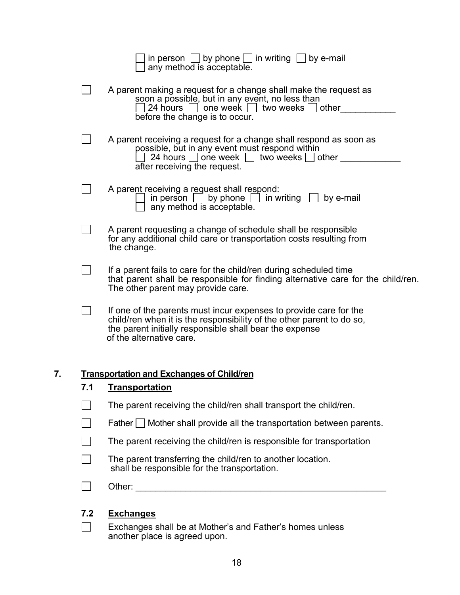|    |        | The parent transferring the child/ren to another location.<br>shall be responsible for the transportation.                                                                                                          |
|----|--------|---------------------------------------------------------------------------------------------------------------------------------------------------------------------------------------------------------------------|
|    |        | The parent receiving the child/ren is responsible for transportation                                                                                                                                                |
|    |        | Father $\Box$ Mother shall provide all the transportation between parents.                                                                                                                                          |
|    |        | The parent receiving the child/ren shall transport the child/ren.                                                                                                                                                   |
|    | 7.1    | <b>Transportation</b>                                                                                                                                                                                               |
| 7. |        | <b>Transportation and Exchanges of Child/ren</b>                                                                                                                                                                    |
|    |        | of the alternative care.                                                                                                                                                                                            |
|    |        | If one of the parents must incur expenses to provide care for the<br>child/ren when it is the responsibility of the other parent to do so,<br>the parent initially responsible shall bear the expense               |
|    |        | that parent shall be responsible for finding alternative care for the child/ren.<br>The other parent may provide care.                                                                                              |
|    |        | If a parent fails to care for the child/ren during scheduled time                                                                                                                                                   |
|    |        | A parent requesting a change of schedule shall be responsible<br>for any additional child care or transportation costs resulting from<br>the change.                                                                |
|    |        | A parent receiving a request shall respond:<br>in person $\Box$ by phone $\Box$ in writing $\Box$ by e-mail<br>any method is acceptable.                                                                            |
|    |        | A parent receiving a request for a change shall respond as soon as<br>possible, but in any event must respond within<br>24 hours one week two weeks other<br>after receiving the request.                           |
|    | $\Box$ | A parent making a request for a change shall make the request as<br>soon a possible, but in any event, no less than $\Box$ 24 hours $\Box$ one week $\Box$ two weeks $\Box$ other<br>before the change is to occur. |
|    |        | in person $\Box$ by phone $\Box$ in writing $\Box$ by e-mail<br>any method is acceptable.                                                                                                                           |

## **7.2 Exchanges**

 Exchanges shall be at Mother's and Father's homes unless another place is agreed upon.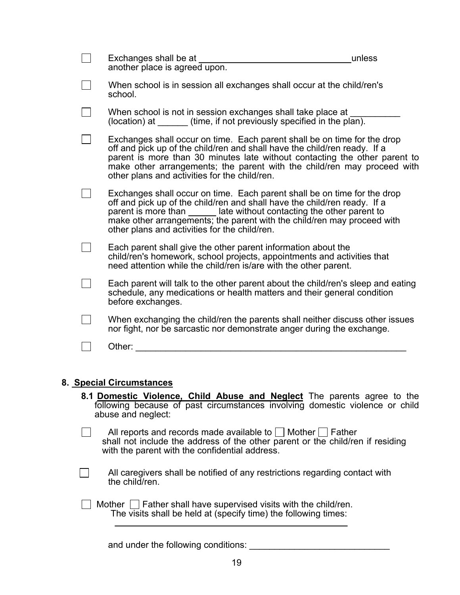| Exchanges shall be at<br>another place is agreed upon.                                                                                                                                                                                                                                                                                                          | unless |
|-----------------------------------------------------------------------------------------------------------------------------------------------------------------------------------------------------------------------------------------------------------------------------------------------------------------------------------------------------------------|--------|
| When school is in session all exchanges shall occur at the child/ren's<br>school.                                                                                                                                                                                                                                                                               |        |
| When school is not in session exchanges shall take place at<br>(location) at $($ time, if not previously specified in the plan).                                                                                                                                                                                                                                |        |
| Exchanges shall occur on time. Each parent shall be on time for the drop<br>off and pick up of the child/ren and shall have the child/ren ready. If a<br>parent is more than 30 minutes late without contacting the other parent to<br>make other arrangements; the parent with the child/ren may proceed with<br>other plans and activities for the child/ren. |        |
| Exchanges shall occur on time. Each parent shall be on time for the drop<br>off and pick up of the child/ren and shall have the child/ren ready. If a<br>parent is more than _______ late without contacting the other parent to<br>make other arrangements; the parent with the child/ren may proceed with<br>other plans and activities for the child/ren.    |        |
| Each parent shall give the other parent information about the<br>child/ren's homework, school projects, appointments and activities that<br>need attention while the child/ren is/are with the other parent.                                                                                                                                                    |        |
| Each parent will talk to the other parent about the child/ren's sleep and eating<br>schedule, any medications or health matters and their general condition<br>before exchanges.                                                                                                                                                                                |        |
| When exchanging the child/ren the parents shall neither discuss other issues<br>nor fight, nor be sarcastic nor demonstrate anger during the exchange.                                                                                                                                                                                                          |        |
| Other:                                                                                                                                                                                                                                                                                                                                                          |        |
|                                                                                                                                                                                                                                                                                                                                                                 |        |

#### **8. Special Circumstances**

**8.1 Domestic Violence, Child Abuse and Neglect** The parents agree to the following because of past circumstances involving domestic violence or child abuse and neglect:

| All reports and records made available to $\Box$ Mother $\Box$ Father                                                            |
|----------------------------------------------------------------------------------------------------------------------------------|
| shall not include the address of the other parent or the child/ren if residing<br>with the parent with the confidential address. |

**Example 20** All caregivers shall be notified of any restrictions regarding contact with the child/ren.

 $\Box$  Mother  $\Box$  Father shall have supervised visits with the child/ren. The visits shall be held at (specify time) the following times:

and under the following conditions: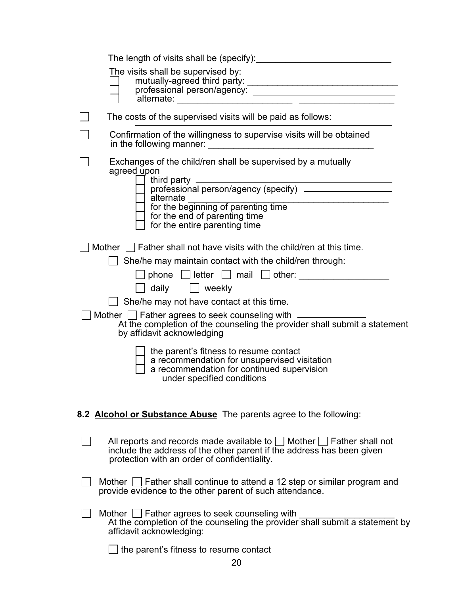| The visits shall be supervised by:<br>professional person/agency:                                                                                                                                                                                             |
|---------------------------------------------------------------------------------------------------------------------------------------------------------------------------------------------------------------------------------------------------------------|
| The costs of the supervised visits will be paid as follows:                                                                                                                                                                                                   |
| Confirmation of the willingness to supervise visits will be obtained                                                                                                                                                                                          |
| Exchanges of the child/ren shall be supervised by a mutually<br>agreed upon<br>third party<br>professional person/agency (specify)<br>alternate ______<br>for the beginning of parenting time<br>intervent of parenting time<br>for the entire parenting time |
| Mother $\Box$ Father shall not have visits with the child/ren at this time.                                                                                                                                                                                   |
| She/he may maintain contact with the child/ren through:                                                                                                                                                                                                       |
|                                                                                                                                                                                                                                                               |
| □ daily □ weekly                                                                                                                                                                                                                                              |
| She/he may not have contact at this time.                                                                                                                                                                                                                     |
| Mother   Father agrees to seek counseling with _<br>At the completion of the counseling the provider shall submit a statement<br>by affidavit acknowledging                                                                                                   |
| the parent's fitness to resume contact<br>a recommendation for unsupervised visitation<br>a recommendation for continued supervision<br>under specified conditions                                                                                            |
| 8.2 Alcohol or Substance Abuse The parents agree to the following:                                                                                                                                                                                            |
| All reports and records made available to $\Box$ Mother $\Box$ Father shall not<br>include the address of the other parent if the address has been given<br>protection with an order of confidentiality.                                                      |
| Mother   Father shall continue to attend a 12 step or similar program and<br>provide evidence to the other parent of such attendance.                                                                                                                         |
| Mother $\Box$ Father agrees to seek counseling with<br>At the completion of the counseling the provider shall submit a statement by<br>affidavit acknowledging:                                                                                               |
| the parent's fitness to resume contact                                                                                                                                                                                                                        |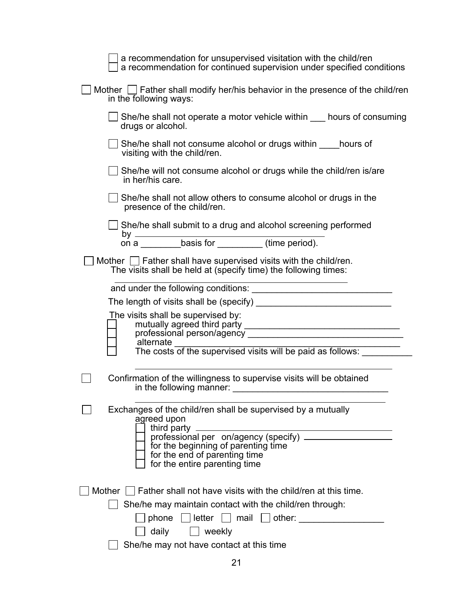| a recommendation for unsupervised visitation with the child/ren<br>a recommendation for continued supervision under specified conditions |
|------------------------------------------------------------------------------------------------------------------------------------------|
| Mother $\Box$ Father shall modify her/his behavior in the presence of the child/ren<br>in the following ways:                            |
| She/he shall not operate a motor vehicle within ____ hours of consuming<br>drugs or alcohol.                                             |
| She/he shall not consume alcohol or drugs within hours of<br>visiting with the child/ren.                                                |
| She/he will not consume alcohol or drugs while the child/ren is/are<br>in her/his care.                                                  |
| She/he shall not allow others to consume alcohol or drugs in the<br>presence of the child/ren.                                           |
| She/he shall submit to a drug and alcohol screening performed                                                                            |
| by _____________basis for ___________(time period).                                                                                      |
| Mother $\Box$ Father shall have supervised visits with the child/ren.<br>The visits shall be held at (specify time) the following times: |
|                                                                                                                                          |
| The length of visits shall be (specify)                                                                                                  |
| The visits shall be supervised by:                                                                                                       |
| alternate<br>The costs of the supervised visits will be paid as follows:                                                                 |
| Confirmation of the willingness to supervise visits will be obtained<br>in the following manner:                                         |
| Exchanges of the child/ren shall be supervised by a mutually<br>agreed upon                                                              |
| for the beginning of parenting time<br>for the end of parenting time<br>for the entire parenting time                                    |
| Mother     Father shall not have visits with the child/ren at this time.                                                                 |
| She/he may maintain contact with the child/ren through:                                                                                  |
| phone $\Box$ letter $\Box$ mail $\Box$ other:                                                                                            |
| daily $\Box$ weekly                                                                                                                      |
| She/he may not have contact at this time                                                                                                 |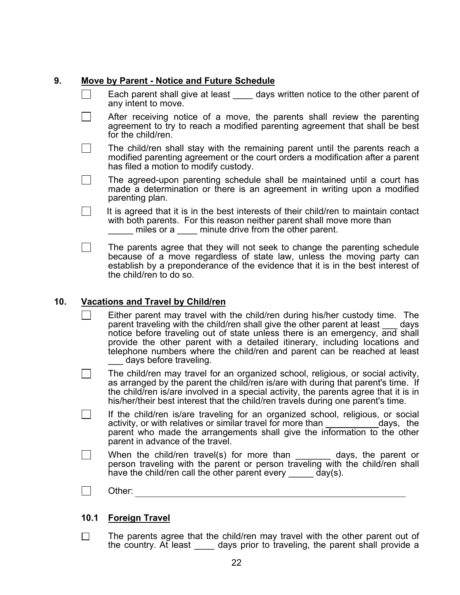#### **9. Move by Parent - Notice and Future Schedule**

- Each parent shall give at least days written notice to the other parent of any intent to move.
- $\vert \ \vert$  After receiving notice of a move, the parents shall review the parenting agreement to try to reach a modified parenting agreement that shall be best for the child/ren.
- $\Box$  The child/ren shall stay with the remaining parent until the parents reach a modified parenting agreement or the court orders a modification after a parent has filed a motion to modify custody.
- $\vert \ \vert$  The agreed-upon parenting schedule shall be maintained until a court has made a determination or there is an agreement in writing upon a modified parenting plan.
- $\vert \ \vert$  It is agreed that it is in the best interests of their child/ren to maintain contact with both parents. For this reason neither parent shall move more than

\_\_\_\_\_\_ miles or a \_\_\_\_\_ minute drive from the other parent.<br>The parents agree that they will not seek to change the parenting schedule  $\Box$ because of a move regardless of state law, unless the moving party can establish by a preponderance of the evidence that it is in the best interest of the child/ren to do so.

#### **10. Vacations and Travel by Child/ren**

- Either parent may travel with the child/ren during his/her custody time. The parent traveling with the child/ren shall give the other parent at least days notice before traveling out of state unless there is an emergency, and shall provide the other parent with a detailed itinerary, including locations and telephone numbers where the child/ren and parent can be reached at least days before traveling.
- The child/ren may travel for an organized school, religious, or social activity, as arranged by the parent the child/ren is/are with during that parent's time. If the child/ren is/are involved in a special activity, the parents agree that it is in his/her/their best interest that the child/ren travels during one parent's time.
- If the child/ren is/are traveling for an organized school, religious, or social activity, or with relatives or similar travel for more than days, the parent who made the arrangements shall give the information to the other parent in advance of the travel.
- $\Box$  When the child/ren travel(s) for more than  $\Box$  days, the parent or person traveling with the parent or person traveling with the child/ren shall have the child/ren call the other parent every  $\frac{d}{dx}$  day(s).
- | | Other:

#### **10.1 Foreign Travel**

 $\Box$  The parents agree that the child/ren may travel with the other parent out of the country. At least a days prior to traveling, the parent shall provide a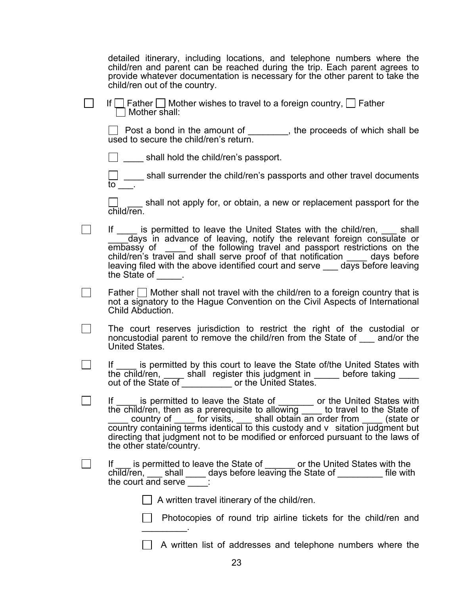detailed itinerary, including locations, and telephone numbers where the child/ren and parent can be reached during the trip. Each parent agrees to provide whatever documentation is necessary for the other parent to take the child/ren out of the country.

| $\Box$ If $\Box$ Father $\Box$ Mother wishes to travel to a foreign country, $\Box$ Father<br>$\Box$ Mother shall: |
|--------------------------------------------------------------------------------------------------------------------|

Post a bond in the amount of \_\_\_\_\_\_\_, the proceeds of which shall be used to secure the child/ren's return.

 $\Box$  shall hold the child/ren's passport.

shall surrender the child/ren's passports and other travel documents to  $\boxed{\phantom{1}}$  .

 $\Box$  shall not apply for, or obtain, a new or replacement passport for the child/ren.

- $\Box$  If  $\Box$  is permitted to leave the United States with the child/ren,  $\Box$  shall days in advance of leaving, notify the relevant foreign consulate or embassy of \_\_\_\_ of the following travel and passport restrictions on the child/ren's travel and shall serve proof of that notification \_\_\_\_ days before leaving filed with the above identified court and serve \_\_\_\_ days before leaving the State of Fig.
- $\vert \ \vert$  Father  $\vert \ \vert$  Mother shall not travel with the child/ren to a foreign country that is not a signatory to the Hague Convention on the Civil Aspects of International Child Abduction.
- The court reserves jurisdiction to restrict the right of the custodial or noncustodial parent to remove the child/ren from the State of \_\_\_ and/or the United States.
- $\Box$  If is permitted by this court to leave the State of/the United States with the child/ren, \_\_\_\_\_ shall register this judgment in \_\_\_\_\_\_ before taking \_\_\_\_\_ out of the State of \_\_\_\_\_\_\_\_\_\_ or the United States.
	- If <u>sepermitted</u> to leave the State of the United States with the child/ren, then as a prerequisite to allowing to travel to the State of country of \_\_\_\_\_ for visits, \_\_\_\_ shall obtain an order from \_\_\_\_\_ (state or  $\overline{\text{count}}$  containing terms identical to this custody and  $\overline{\text{v}}$  sitation judgment but directing that judgment not to be modified or enforced pursuant to the laws of the other state/country.
- If is permitted to leave the State of <u>seconal</u> or the United States with the child/ren, \_\_\_ shall \_\_\_\_ days before leaving the State of \_\_\_\_\_\_\_\_\_ file with the court and serve :

 $\vert \ \vert$  A written travel itinerary of the child/ren.

**Photocopies of round trip airline tickets for the child/ren and**  $\mathcal{L}_\text{max}$ 

A written list of addresses and telephone numbers where the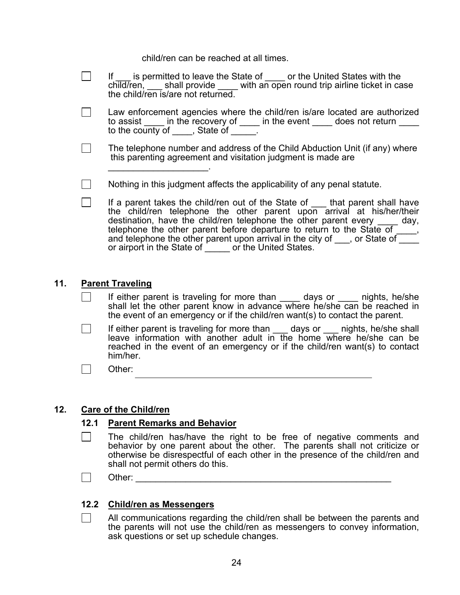child/ren can be reached at all times.

|  | If is permitted to leave the State of same or the United States with the<br>child/ren, $\_\_\$ shall provide with an open round trip airline ticket in case<br>the child/ren is/are not returned.                                                                                                                                                                                                                                                    |
|--|------------------------------------------------------------------------------------------------------------------------------------------------------------------------------------------------------------------------------------------------------------------------------------------------------------------------------------------------------------------------------------------------------------------------------------------------------|
|  | Law enforcement agencies where the child/ren is/are located are authorized<br>to assist _____ in the recovery of _____ in the event _____ does not return ____<br>to the county of _____, State of ______                                                                                                                                                                                                                                            |
|  | The telephone number and address of the Child Abduction Unit (if any) where<br>this parenting agreement and visitation judgment is made are                                                                                                                                                                                                                                                                                                          |
|  | Nothing in this judgment affects the applicability of any penal statute.                                                                                                                                                                                                                                                                                                                                                                             |
|  | If a parent takes the child/ren out of the State of that parent shall have<br>the child/ren telephone the other parent upon arrival at his/her/their<br>destination, have the child/ren telephone the other parent every day,<br>telephone the other parent before departure to return to the State of _____, and telephone the other parent upon arrival in the city of ____, or State of _____<br>or airport in the State of or the United States. |

#### **11. Parent Traveling**

- If either parent is traveling for more than \_\_\_\_\_ days or \_\_\_\_\_ nights, he/she shall let the other parent know in advance where he/she can be reached in the event of an emergency or if the child/ren want(s) to contact the parent.
- If either parent is traveling for more than \_\_\_\_ days or \_\_\_\_ nights, he/she shall leave information with another adult in the home where he/she can be reached in the event of an emergency or if the child/ren want(s) to contact him/her.

 $\Box$  Other:

#### **12. Care of the Child/ren**

#### **12.1 Parent Remarks and Behavior**

- $\Box$  The child/ren has/have the right to be free of negative comments and behavior by one parent about the other. The parents shall not criticize or otherwise be disrespectful of each other in the presence of the child/ren and shall not permit others do this.
- Other: \_\_\_\_\_\_\_\_\_\_\_\_\_\_\_\_\_\_\_\_\_\_\_\_\_\_\_\_\_\_\_\_\_\_\_\_\_\_\_\_\_\_\_\_\_\_\_\_\_\_\_

#### **12.2 Child/ren as Messengers**

 $\vert \ \vert$  All communications regarding the child/ren shall be between the parents and the parents will not use the child/ren as messengers to convey information, ask questions or set up schedule changes.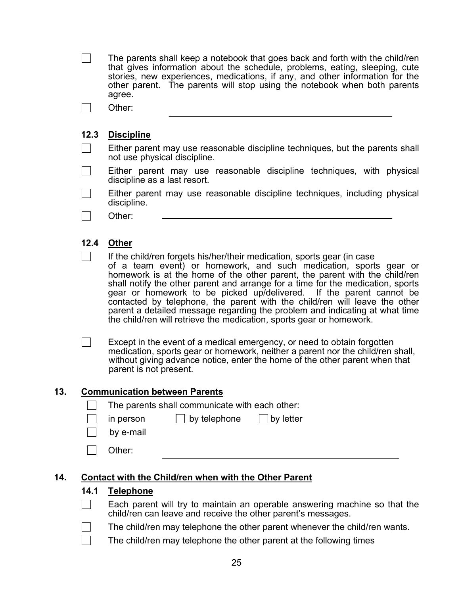The parents shall keep a notebook that goes back and forth with the child/ren that gives information about the schedule, problems, eating, sleeping, cute stories, new experiences, medications, if any, and other information for the other parent. The parents will stop using the notebook when both parents agree.

Other:

#### **12.3 Discipline**

 $\Box$  Either parent may use reasonable discipline techniques, but the parents shall not use physical discipline.

 $\Box$  Either parent may use reasonable discipline techniques, with physical discipline as a last resort.

- $\Box$  Either parent may use reasonable discipline techniques, including physical discipline.
- Other:

#### **12.4 Other**

 $\Box$  If the child/ren forgets his/her/their medication, sports gear (in case of a team event) or homework, and such medication, sports gear or homework is at the home of the other parent, the parent with the child/ren shall notify the other parent and arrange for a time for the medication, sports gear or homework to be picked up/delivered. If the parent cannot be contacted by telephone, the parent with the child/ren will leave the other parent a detailed message regarding the problem and indicating at what time the child/ren will retrieve the medication, sports gear or homework.

 $\Box$  Except in the event of a medical emergency, or need to obtain forgotten medication, sports gear or homework, neither a parent nor the child/ren shall, without giving advance notice, enter the home of the other parent when that parent is not present.

#### **13. Communication between Parents**

- The parents shall communicate with each other:
- in person  $\vert \vert$  by telephone  $\vert \vert$  by letter
- by e-mail
- | Other:

#### **14. Contact with the Child/ren when with the Other Parent**

#### **14.1 Telephone**

- Each parent will try to maintain an operable answering machine so that the child/ren can leave and receive the other parent's messages.
- $\vert \ \vert$  The child/ren may telephone the other parent whenever the child/ren wants.
- The child/ren may telephone the other parent at the following times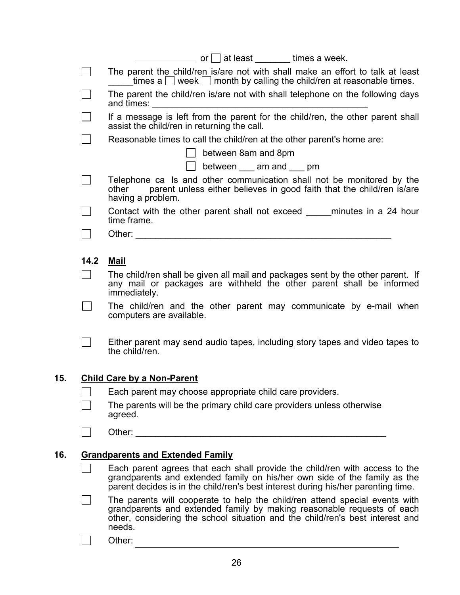|     |      | example at least times a week.                                                                                                                                                                                                                   |
|-----|------|--------------------------------------------------------------------------------------------------------------------------------------------------------------------------------------------------------------------------------------------------|
|     |      | The parent the child/ren is/are not with shall make an effort to talk at least<br>times a $\Box$ week $\Box$ month by calling the child/ren at reasonable times.                                                                                 |
|     |      | The parent the child/ren is/are not with shall telephone on the following days<br>and times: and times:                                                                                                                                          |
|     |      | If a message is left from the parent for the child/ren, the other parent shall<br>assist the child/ren in returning the call.                                                                                                                    |
|     |      | Reasonable times to call the child/ren at the other parent's home are:                                                                                                                                                                           |
|     |      | between 8am and 8pm                                                                                                                                                                                                                              |
|     |      | between ____ am and ____ pm                                                                                                                                                                                                                      |
|     |      | Telephone ca Is and other communication shall not be monitored by the<br>parent unless either believes in good faith that the child/ren is/are<br>other<br>having a problem.                                                                     |
|     |      | Contact with the other parent shall not exceed minutes in a 24 hour<br>time frame.                                                                                                                                                               |
|     |      | Other: the contract of the contract of the contract of the contract of the contract of the contract of the contract of the contract of the contract of the contract of the contract of the contract of the contract of the con                   |
|     |      |                                                                                                                                                                                                                                                  |
|     | 14.2 | <b>Mail</b>                                                                                                                                                                                                                                      |
|     |      | The child/ren shall be given all mail and packages sent by the other parent. If<br>any mail or packages are withheld the other parent shall be informed<br>immediately.                                                                          |
|     |      | The child/ren and the other parent may communicate by e-mail when<br>computers are available.                                                                                                                                                    |
|     |      | Either parent may send audio tapes, including story tapes and video tapes to<br>the child/ren.                                                                                                                                                   |
| 15. |      | <b>Child Care by a Non-Parent</b>                                                                                                                                                                                                                |
|     | П    | Each parent may choose appropriate child care providers.                                                                                                                                                                                         |
|     |      | The parents will be the primary child care providers unless otherwise<br>agreed.                                                                                                                                                                 |
|     |      | Other: The Contract of the Contract of the Contract of the Contract of the Contract of the Contract of the Contract of the Contract of the Contract of the Contract of the Contract of the Contract of the Contract of the Con                   |
|     |      |                                                                                                                                                                                                                                                  |
| 16. |      | <b>Grandparents and Extended Family</b>                                                                                                                                                                                                          |
|     |      | Each parent agrees that each shall provide the child/ren with access to the<br>grandparents and extended family on his/her own side of the family as the<br>parent decides is in the child/ren's best interest during his/her parenting time.    |
|     |      | The parents will cooperate to help the child/ren attend special events with<br>grandparents and extended family by making reasonable requests of each<br>other, considering the school situation and the child/ren's best interest and<br>needs. |
|     |      | Other:                                                                                                                                                                                                                                           |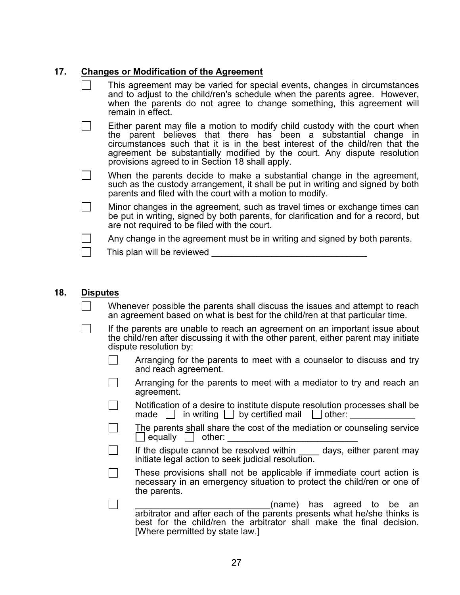#### **17. Changes or Modification of the Agreement**

| This agreement may be varied for special events, changes in circumstances<br>and to adjust to the child/ren's schedule when the parents agree. However,<br>when the parents do not agree to change something, this agreement will<br>remain in effect.                                                                                                        |
|---------------------------------------------------------------------------------------------------------------------------------------------------------------------------------------------------------------------------------------------------------------------------------------------------------------------------------------------------------------|
| Either parent may file a motion to modify child custody with the court when<br>the parent believes that there has been a substantial change in<br>circumstances such that it is in the best interest of the child/ren that the<br>agreement be substantially modified by the court. Any dispute resolution<br>provisions agreed to in Section 18 shall apply. |
| When the parents decide to make a substantial change in the agreement,<br>such as the custody arrangement, it shall be put in writing and signed by both<br>parents and filed with the court with a motion to modify.                                                                                                                                         |
| Minor changes in the agreement, such as travel times or exchange times can<br>be put in writing, signed by both parents, for clarification and for a record, but<br>are not required to be filed with the court.                                                                                                                                              |
| Any change in the agreement must be in writing and signed by both parents.                                                                                                                                                                                                                                                                                    |
| This plan will be reviewed                                                                                                                                                                                                                                                                                                                                    |

#### **18. Disputes**

- Whenever possible the parents shall discuss the issues and attempt to reach an agreement based on what is best for the child/ren at that particular time.
- $\vert \ \vert$  If the parents are unable to reach an agreement on an important issue about the child/ren after discussing it with the other parent, either parent may initiate dispute resolution by:
	- Arranging for the parents to meet with a counselor to discuss and try and reach agreement.
	- Arranging for the parents to meet with a mediator to try and reach an agreement.
	- Notification of a desire to institute dispute resolution processes shall be made  $\Box$  in writing  $\Box$  by certified mail  $\Box$  other:
	- The parents shall share the cost of the mediation or counseling service  $\Box$  equally  $\Box$  other:
	- If the dispute cannot be resolved within days, either parent may initiate legal action to seek judicial resolution.
	- These provisions shall not be applicable if immediate court action is necessary in an emergency situation to protect the child/ren or one of the parents.
	- (name) has agreed to be an arbitrator and after each of the parents presents what he/she thinks is best for the child/ren the arbitrator shall make the final decision. [Where permitted by state law.]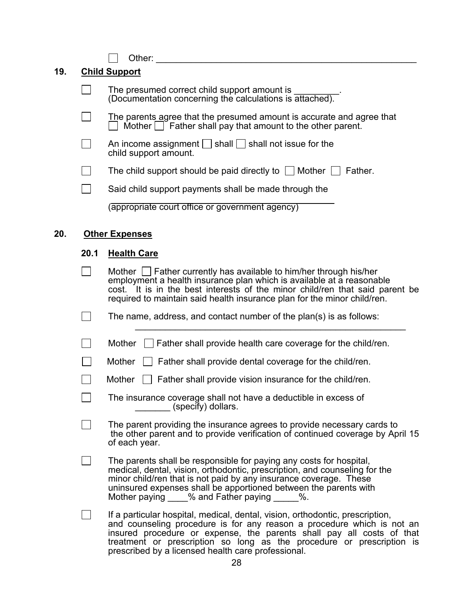$\boxed{\qquad \qquad \text{Other:}\qquad \qquad \qquad \qquad \qquad \qquad \qquad \qquad \text{Other:}\qquad \qquad \qquad \qquad \qquad \text{Other:}\qquad \qquad \qquad \text{other:}\qquad \qquad \qquad \text{other:}\qquad \qquad \text{other:}\qquad \qquad \text{other:}\qquad \qquad \text{other:}\qquad \qquad \text{other:}\qquad \qquad \text{other:}\qquad \qquad \text{other:}\qquad \qquad \text{other:}\qquad \qquad \text{other:}\qquad \qquad \text{other:}\qquad \qquad \text{other:}\qquad \qquad \text{other:}\qquad \qquad \text{other$ 

## **19. Child Support**

| The presumed correct child support amount is<br>(Documentation concerning the calculations is attached).                                 |
|------------------------------------------------------------------------------------------------------------------------------------------|
| The parents agree that the presumed amount is accurate and agree that<br>Mother $\Box$ Father shall pay that amount to the other parent. |
| An income assignment $\bigsqcup$ shall $\bigsqcup$ shall not issue for the<br>child support amount.                                      |
| The child support should be paid directly to $\Box$<br>Mother<br>Father.                                                                 |
| Said child support payments shall be made through the                                                                                    |
| (appropriate court office or government agency)                                                                                          |

## **20. Other Expenses**

### **20.1 Health Care**

| Mother $\Box$ Father currently has available to him/her through his/her<br>employment a health insurance plan which is available at a reasonable<br>cost. It is in the best interests of the minor child/ren that said parent be<br>required to maintain said health insurance plan for the minor child/ren.                                                    |
|-----------------------------------------------------------------------------------------------------------------------------------------------------------------------------------------------------------------------------------------------------------------------------------------------------------------------------------------------------------------|
| The name, address, and contact number of the plan(s) is as follows:                                                                                                                                                                                                                                                                                             |
| $\Box$ Father shall provide health care coverage for the child/ren.<br><b>Mother</b>                                                                                                                                                                                                                                                                            |
| $\Box$ Father shall provide dental coverage for the child/ren.<br>Mother                                                                                                                                                                                                                                                                                        |
| Father shall provide vision insurance for the child/ren.<br>Mother                                                                                                                                                                                                                                                                                              |
| The insurance coverage shall not have a deductible in excess of<br>(specify) dollars.                                                                                                                                                                                                                                                                           |
| The parent providing the insurance agrees to provide necessary cards to<br>the other parent and to provide verification of continued coverage by April 15<br>of each year.                                                                                                                                                                                      |
| The parents shall be responsible for paying any costs for hospital,<br>medical, dental, vision, orthodontic, prescription, and counseling for the<br>minor child/ren that is not paid by any insurance coverage. These<br>uninsured expenses shall be apportioned between the parents with<br>Mother paying % and Father paying %.                              |
| If a particular hospital, medical, dental, vision, orthodontic, prescription,<br>and counseling procedure is for any reason a procedure which is not an<br>insured procedure or expense, the parents shall pay all costs of that<br>treatment or prescription so long as the procedure or prescription is<br>prescribed by a licensed health care professional. |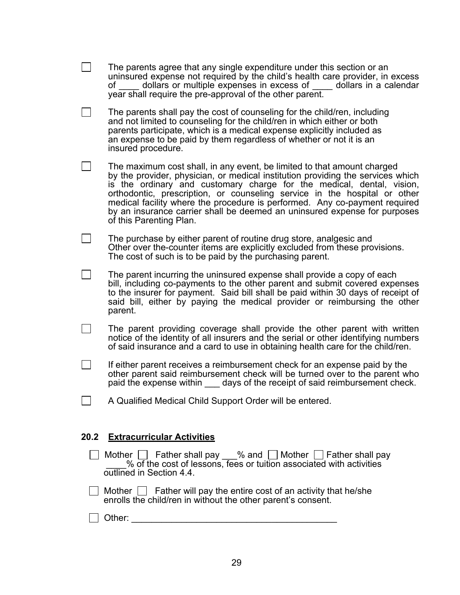|      | The parents agree that any single expenditure under this section or an<br>uninsured expense not required by the child's health care provider, in excess<br>dollars or multiple expenses in excess of dollars in a calendar<br>$of$ and $\overline{a}$<br>year shall require the pre-approval of the other parent.                                                                                                                                                                                      |
|------|--------------------------------------------------------------------------------------------------------------------------------------------------------------------------------------------------------------------------------------------------------------------------------------------------------------------------------------------------------------------------------------------------------------------------------------------------------------------------------------------------------|
|      | The parents shall pay the cost of counseling for the child/ren, including<br>and not limited to counseling for the child/ren in which either or both<br>parents participate, which is a medical expense explicitly included as<br>an expense to be paid by them regardless of whether or not it is an<br>insured procedure.                                                                                                                                                                            |
|      | The maximum cost shall, in any event, be limited to that amount charged<br>by the provider, physician, or medical institution providing the services which<br>is the ordinary and customary charge for the medical, dental, vision,<br>orthodontic, prescription, or counseling service in the hospital or other<br>medical facility where the procedure is performed. Any co-payment required<br>by an insurance carrier shall be deemed an uninsured expense for purposes<br>of this Parenting Plan. |
|      | The purchase by either parent of routine drug store, analgesic and<br>Other over the-counter items are explicitly excluded from these provisions.<br>The cost of such is to be paid by the purchasing parent.                                                                                                                                                                                                                                                                                          |
|      | The parent incurring the uninsured expense shall provide a copy of each<br>bill, including co-payments to the other parent and submit covered expenses<br>to the insurer for payment. Said bill shall be paid within 30 days of receipt of<br>said bill, either by paying the medical provider or reimbursing the other<br>parent.                                                                                                                                                                     |
|      | The parent providing coverage shall provide the other parent with written<br>notice of the identity of all insurers and the serial or other identifying numbers<br>of said insurance and a card to use in obtaining health care for the child/ren.                                                                                                                                                                                                                                                     |
|      | If either parent receives a reimbursement check for an expense paid by the<br>other parent said reimbursement check will be turned over to the parent who<br>paid the expense within _____ days of the receipt of said reimbursement check.                                                                                                                                                                                                                                                            |
|      | A Qualified Medical Child Support Order will be entered.                                                                                                                                                                                                                                                                                                                                                                                                                                               |
| 20.2 | <b>Extracurricular Activities</b>                                                                                                                                                                                                                                                                                                                                                                                                                                                                      |
|      | Mother $\Box$ Father shall pay $\_\%$ and $\Box$ Mother $\Box$ Father shall pay $\_\_\_\%$ of the cost of lessons, fees or tuition associated with activities<br>outlined in Section 4.4.                                                                                                                                                                                                                                                                                                              |
|      | Mother $\Box$ Father will pay the entire cost of an activity that he/she<br>enrolls the child/ren in without the other parent's consent.                                                                                                                                                                                                                                                                                                                                                               |
|      |                                                                                                                                                                                                                                                                                                                                                                                                                                                                                                        |
|      |                                                                                                                                                                                                                                                                                                                                                                                                                                                                                                        |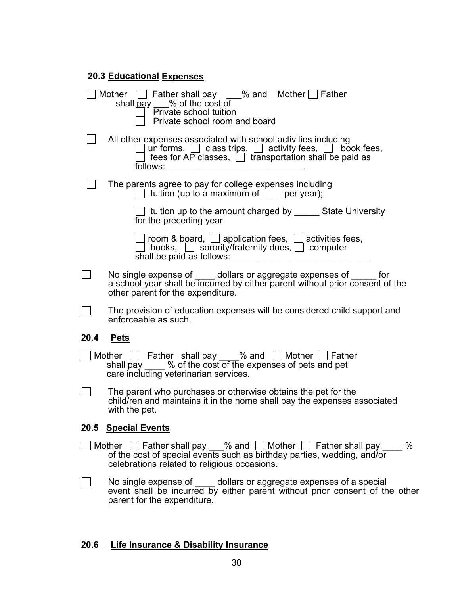| <b>20.3 Educational Expenses</b> |                                                                                                                                                                                                                             |  |
|----------------------------------|-----------------------------------------------------------------------------------------------------------------------------------------------------------------------------------------------------------------------------|--|
|                                  | Mother $\Box$ Father shall pay ___% and Mother $\Box$ Father<br>shall pay 5% of the cost of<br>Private school room and board                                                                                                |  |
|                                  | All other expenses associated with school activities including<br>uniforms, $\Box$ class trips, $\Box$ activity fees, $\Box$ book fees, fees for AP classes, $\Box$ transportation shall be paid as                         |  |
|                                  | The parents agree to pay for college expenses including<br>$\Box$ tuition (up to a maximum of per year);                                                                                                                    |  |
|                                  | ⊥ tuition up to the amount charged by ______ State University<br>for the preceding year.                                                                                                                                    |  |
|                                  | ◯ room & board, ◯ application fees, ◯ activities fees,<br>◯ books, ◯ sorority/fraternity dues, ◯ computer                                                                                                                   |  |
|                                  | No single expense of _____ dollars or aggregate expenses of ______ for<br>a school year shall be incurred by either parent without prior consent of the<br>other parent for the expenditure.                                |  |
|                                  | The provision of education expenses will be considered child support and<br>enforceable as such.                                                                                                                            |  |
| 20.4                             | <u>Pets</u>                                                                                                                                                                                                                 |  |
|                                  | Mother $\Box$ Father shall pay $\_\_\%$ and $\Box$ Mother $\Box$ Father shall pay $\_\_\_\%$ of the cost of the expenses of pets and pet<br>care including veterinarian services.                                           |  |
|                                  | The parent who purchases or otherwise obtains the pet for the<br>child/ren and maintains it in the home shall pay the expenses associated<br>with the pet.                                                                  |  |
| 20.5                             | <b>Special Events</b>                                                                                                                                                                                                       |  |
|                                  | Mother $\Box$ Father shall pay $\_\_\%$ and $\Box$ Mother $\Box$ Father shall pay $\_\_\_\$ of the cost of special events such as birthday parties, wedding, and/or<br>$\%$<br>celebrations related to religious occasions. |  |

No single expense of <u>equidence</u> dollars or aggregate expenses of a special event shall be incurred by either parent without prior consent of the other parent for the expenditure.

#### **20.6 Life Insurance & Disability Insurance**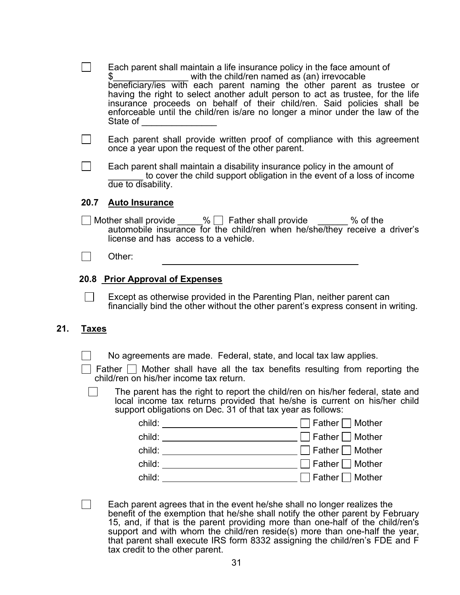|     |              | Each parent shall maintain a life insurance policy in the face amount of<br>with the child/ren named as (an) irrevocable<br>S.<br>beneficiary/ies with each parent naming the other parent as trustee or<br>having the right to select another adult person to act as trustee, for the life<br>insurance proceeds on behalf of their child/ren. Said policies shall be<br>enforceable until the child/ren is/are no longer a minor under the law of the<br>State of                                                                                                                     |
|-----|--------------|-----------------------------------------------------------------------------------------------------------------------------------------------------------------------------------------------------------------------------------------------------------------------------------------------------------------------------------------------------------------------------------------------------------------------------------------------------------------------------------------------------------------------------------------------------------------------------------------|
|     |              | Each parent shall provide written proof of compliance with this agreement<br>once a year upon the request of the other parent.                                                                                                                                                                                                                                                                                                                                                                                                                                                          |
|     |              | Each parent shall maintain a disability insurance policy in the amount of<br>to cover the child support obligation in the event of a loss of income<br>due to disability.                                                                                                                                                                                                                                                                                                                                                                                                               |
|     | 20.7         | <b>Auto Insurance</b>                                                                                                                                                                                                                                                                                                                                                                                                                                                                                                                                                                   |
|     |              | Mother shall provide _____% [ Father shall provide ______ % of the<br>automobile insurance for the child/ren when he/she/they receive a driver's<br>license and has access to a vehicle.                                                                                                                                                                                                                                                                                                                                                                                                |
|     |              | Other:                                                                                                                                                                                                                                                                                                                                                                                                                                                                                                                                                                                  |
|     |              | 20.8 Prior Approval of Expenses<br>Except as otherwise provided in the Parenting Plan, neither parent can<br>financially bind the other without the other parent's express consent in writing.                                                                                                                                                                                                                                                                                                                                                                                          |
| 21. | <u>Taxes</u> |                                                                                                                                                                                                                                                                                                                                                                                                                                                                                                                                                                                         |
|     |              | No agreements are made. Federal, state, and local tax law applies.<br>Father $\Box$ Mother shall have all the tax benefits resulting from reporting the<br>child/ren on his/her income tax return.<br>The parent has the right to report the child/ren on his/her federal, state and<br>local income tax returns provided that he/she is current on his/her child<br>support obligations on Dec. 31 of that tax year as follows:<br>child: _______________________________ □ Father □ Mother<br>Father $\Box$ Mother<br>Father $\Box$ Mother<br>$child:$ $\Box$<br>Father $\Box$ Mother |
|     |              | Each parent agrees that in the event he/she shall no longer realizes the<br>benefit of the exemption that he/she shall notify the other parent by February<br>15, and, if that is the parent providing more than one-half of the child/ren's<br>support and with whom the child/ren reside(s) more than one-half the year,                                                                                                                                                                                                                                                              |

31

tax credit to the other parent.

that parent shall execute IRS form 8332 assigning the child/ren's FDE and F